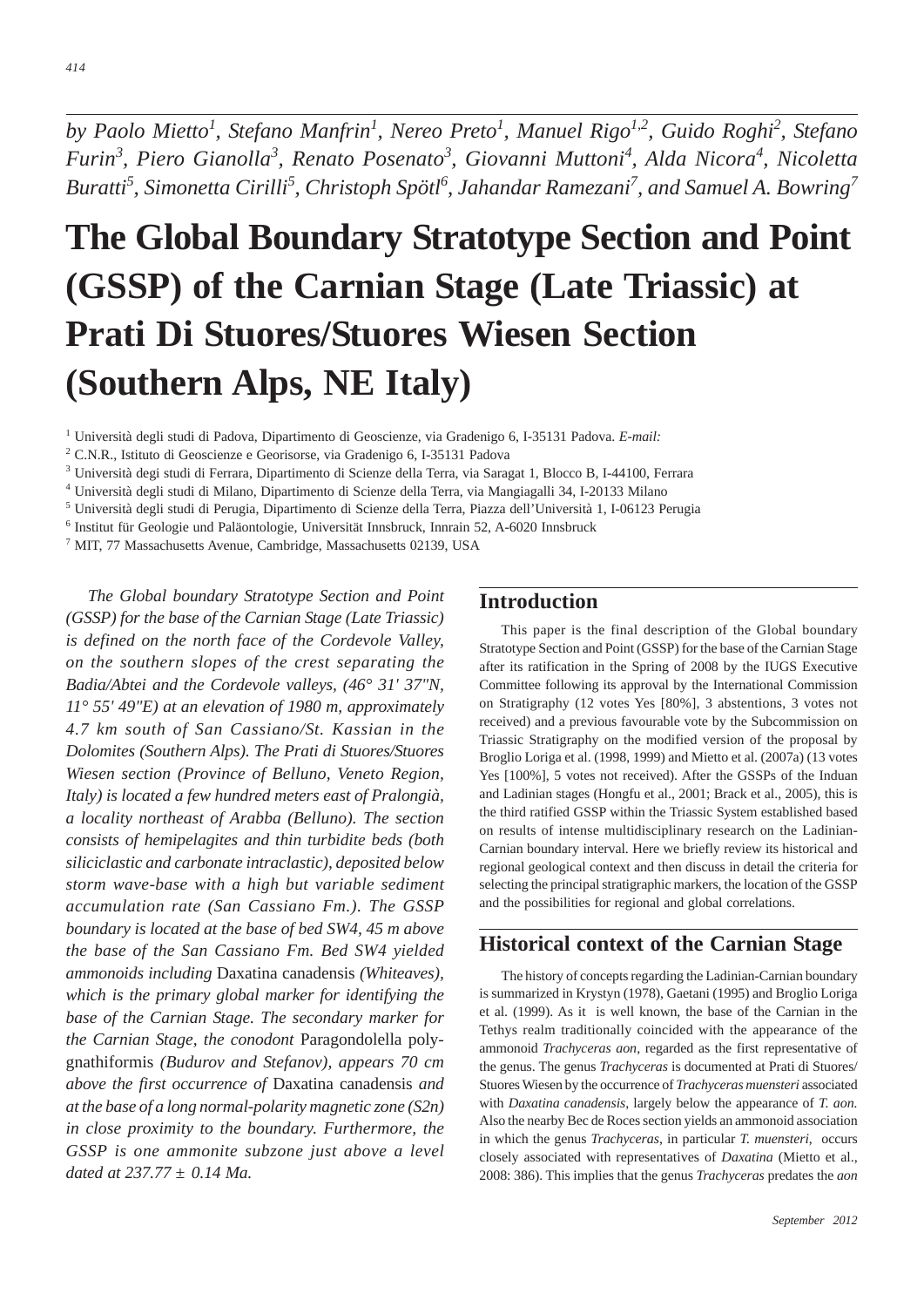*by Paolo Mietto1 , Stefano Manfrin<sup>1</sup> , Nereo Preto1 , Manuel Rigo1,2, Guido Roghi2 , Stefano Furin<sup>3</sup> , Piero Gianolla<sup>3</sup> , Renato Posenato<sup>3</sup> , Giovanni Muttoni<sup>4</sup> , Alda Nicora<sup>4</sup> , Nicoletta Buratti5 , Simonetta Cirilli<sup>5</sup> , Christoph Spötl6 , Jahandar Ramezani7 , and Samuel A. Bowring7*

# **The Global Boundary Stratotype Section and Point (GSSP) of the Carnian Stage (Late Triassic) at Prati Di Stuores/Stuores Wiesen Section (Southern Alps, NE Italy)**

<sup>1</sup> Università degli studi di Padova, Dipartimento di Geoscienze, via Gradenigo 6, I-35131 Padova. *E-mail:*

<sup>3</sup> Università degi studi di Ferrara, Dipartimento di Scienze della Terra, via Saragat 1, Blocco B, I-44100, Ferrara

<sup>4</sup> Università degli studi di Milano, Dipartimento di Scienze della Terra, via Mangiagalli 34, I-20133 Milano

- <sup>5</sup> Università degli studi di Perugia, Dipartimento di Scienze della Terra, Piazza dell'Università 1, I-06123 Perugia
- <sup>6</sup> Institut für Geologie und Paläontologie, Universität Innsbruck, Innrain 52, A-6020 Innsbruck

<sup>7</sup> MIT, 77 Massachusetts Avenue, Cambridge, Massachusetts 02139, USA

*The Global boundary Stratotype Section and Point (GSSP) for the base of the Carnian Stage (Late Triassic) is defined on the north face of the Cordevole Valley, on the southern slopes of the crest separating the Badia/Abtei and the Cordevole valleys, (46° 31' 37"N, 11° 55' 49"E) at an elevation of 1980 m, approximately 4.7 km south of San Cassiano/St. Kassian in the Dolomites (Southern Alps). The Prati di Stuores/Stuores Wiesen section (Province of Belluno, Veneto Region, Italy) is located a few hundred meters east of Pralongià, a locality northeast of Arabba (Belluno). The section consists of hemipelagites and thin turbidite beds (both siliciclastic and carbonate intraclastic), deposited below storm wave-base with a high but variable sediment accumulation rate (San Cassiano Fm.). The GSSP boundary is located at the base of bed SW4, 45 m above the base of the San Cassiano Fm. Bed SW4 yielded ammonoids including* Daxatina canadensis *(Whiteaves), which is the primary global marker for identifying the base of the Carnian Stage. The secondary marker for the Carnian Stage, the conodont* Paragondolella polygnathiformis *(Budurov and Stefanov), appears 70 cm above the first occurrence of* Daxatina canadensis *and at the base of a long normal-polarity magnetic zone (S2n) in close proximity to the boundary. Furthermore, the GSSP is one ammonite subzone just above a level dated at 237.77 ± 0.14 Ma.*

## **Introduction**

This paper is the final description of the Global boundary Stratotype Section and Point (GSSP) for the base of the Carnian Stage after its ratification in the Spring of 2008 by the IUGS Executive Committee following its approval by the International Commission on Stratigraphy (12 votes Yes [80%], 3 abstentions, 3 votes not received) and a previous favourable vote by the Subcommission on Triassic Stratigraphy on the modified version of the proposal by Broglio Loriga et al. (1998, 1999) and Mietto et al. (2007a) (13 votes Yes [100%], 5 votes not received). After the GSSPs of the Induan and Ladinian stages (Hongfu et al., 2001; Brack et al., 2005), this is the third ratified GSSP within the Triassic System established based on results of intense multidisciplinary research on the Ladinian-Carnian boundary interval. Here we briefly review its historical and regional geological context and then discuss in detail the criteria for selecting the principal stratigraphic markers, the location of the GSSP and the possibilities for regional and global correlations.

## **Historical context of the Carnian Stage**

The history of concepts regarding the Ladinian-Carnian boundary is summarized in Krystyn (1978), Gaetani (1995) and Broglio Loriga et al. (1999). As it is well known, the base of the Carnian in the Tethys realm traditionally coincided with the appearance of the ammonoid *Trachyceras aon*, regarded as the first representative of the genus. The genus *Trachyceras* is documented at Prati di Stuores/ Stuores Wiesen by the occurrence of *Trachyceras muensteri* associated with *Daxatina canadensis*, largely below the appearance of *T. aon.* Also the nearby Bec de Roces section yields an ammonoid association in which the genus *Trachyceras*, in particular *T. muensteri*, occurs closely associated with representatives of *Daxatina* (Mietto et al., 2008: 386). This implies that the genus *Trachyceras* predates the *aon*

<sup>2</sup> C.N.R., Istituto di Geoscienze e Georisorse, via Gradenigo 6, I-35131 Padova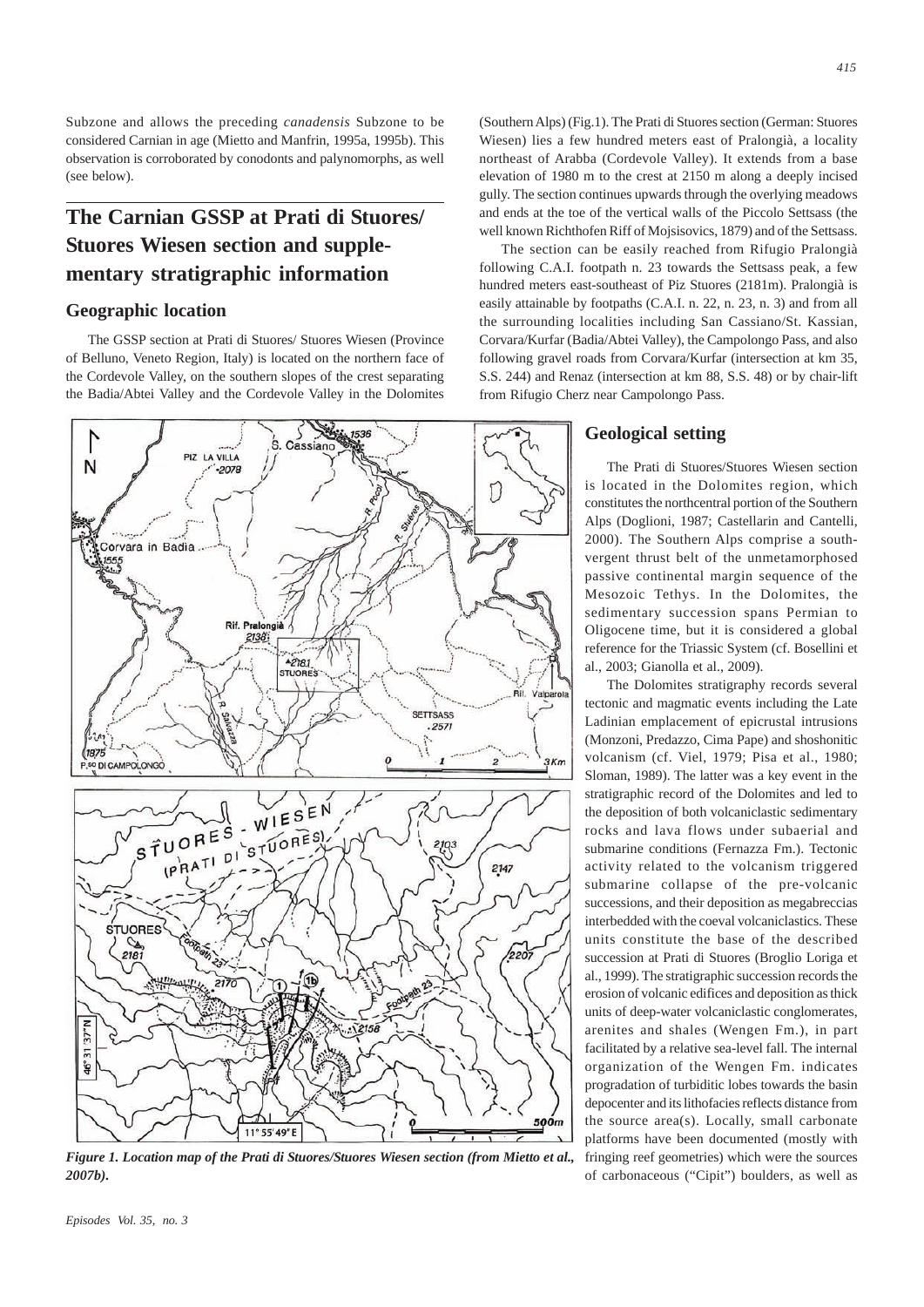Subzone and allows the preceding *canadensis* Subzone to be considered Carnian in age (Mietto and Manfrin, 1995a, 1995b). This observation is corroborated by conodonts and palynomorphs, as well (see below).

# **The Carnian GSSP at Prati di Stuores/ Stuores Wiesen section and supplementary stratigraphic information**

#### **Geographic location**

The GSSP section at Prati di Stuores/ Stuores Wiesen (Province of Belluno, Veneto Region, Italy) is located on the northern face of the Cordevole Valley, on the southern slopes of the crest separating the Badia/Abtei Valley and the Cordevole Valley in the Dolomites



*Figure 1. Location map of the Prati di Stuores/Stuores Wiesen section (from Mietto et al., 2007b).*

(Southern Alps) (Fig.1). The Prati di Stuores section (German: Stuores Wiesen) lies a few hundred meters east of Pralongià, a locality northeast of Arabba (Cordevole Valley). It extends from a base elevation of 1980 m to the crest at 2150 m along a deeply incised gully. The section continues upwards through the overlying meadows and ends at the toe of the vertical walls of the Piccolo Settsass (the well known Richthofen Riff of Mojsisovics, 1879) and of the Settsass.

The section can be easily reached from Rifugio Pralongià following C.A.I. footpath n. 23 towards the Settsass peak, a few hundred meters east-southeast of Piz Stuores (2181m). Pralongià is easily attainable by footpaths (C.A.I. n. 22, n. 23, n. 3) and from all the surrounding localities including San Cassiano/St. Kassian, Corvara/Kurfar (Badia/Abtei Valley), the Campolongo Pass, and also following gravel roads from Corvara/Kurfar (intersection at km 35, S.S. 244) and Renaz (intersection at km 88, S.S. 48) or by chair-lift from Rifugio Cherz near Campolongo Pass.

#### **Geological setting**

The Prati di Stuores/Stuores Wiesen section is located in the Dolomites region, which constitutes the northcentral portion of the Southern Alps (Doglioni, 1987; Castellarin and Cantelli, 2000). The Southern Alps comprise a southvergent thrust belt of the unmetamorphosed passive continental margin sequence of the Mesozoic Tethys. In the Dolomites, the sedimentary succession spans Permian to Oligocene time, but it is considered a global reference for the Triassic System (cf. Bosellini et al., 2003; Gianolla et al., 2009).

The Dolomites stratigraphy records several tectonic and magmatic events including the Late Ladinian emplacement of epicrustal intrusions (Monzoni, Predazzo, Cima Pape) and shoshonitic volcanism (cf. Viel, 1979; Pisa et al., 1980; Sloman, 1989). The latter was a key event in the stratigraphic record of the Dolomites and led to the deposition of both volcaniclastic sedimentary rocks and lava flows under subaerial and submarine conditions (Fernazza Fm.). Tectonic activity related to the volcanism triggered submarine collapse of the pre-volcanic successions, and their deposition as megabreccias interbedded with the coeval volcaniclastics. These units constitute the base of the described succession at Prati di Stuores (Broglio Loriga et al., 1999). The stratigraphic succession records the erosion of volcanic edifices and deposition as thick units of deep-water volcaniclastic conglomerates, arenites and shales (Wengen Fm.), in part facilitated by a relative sea-level fall. The internal organization of the Wengen Fm. indicates progradation of turbiditic lobes towards the basin depocenter and its lithofacies reflects distance from the source area(s). Locally, small carbonate platforms have been documented (mostly with fringing reef geometries) which were the sources of carbonaceous ("Cipit") boulders, as well as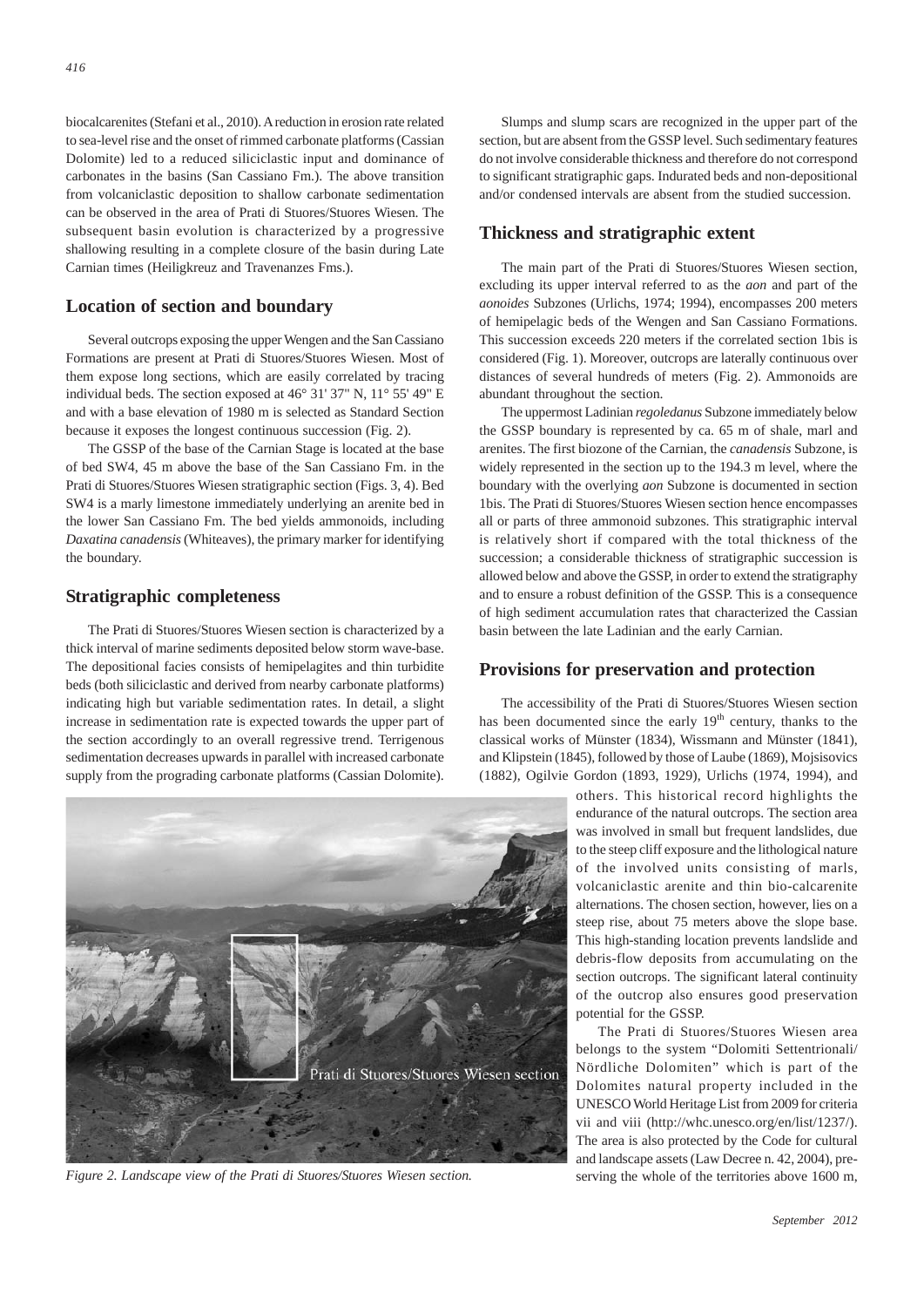biocalcarenites (Stefani et al., 2010). A reduction in erosion rate related to sea-level rise and the onset of rimmed carbonate platforms (Cassian Dolomite) led to a reduced siliciclastic input and dominance of carbonates in the basins (San Cassiano Fm.). The above transition from volcaniclastic deposition to shallow carbonate sedimentation can be observed in the area of Prati di Stuores/Stuores Wiesen. The subsequent basin evolution is characterized by a progressive shallowing resulting in a complete closure of the basin during Late Carnian times (Heiligkreuz and Travenanzes Fms.).

#### **Location of section and boundary**

Several outcrops exposing the upper Wengen and the San Cassiano Formations are present at Prati di Stuores/Stuores Wiesen. Most of them expose long sections, which are easily correlated by tracing individual beds. The section exposed at 46° 31' 37" N, 11° 55' 49" E and with a base elevation of 1980 m is selected as Standard Section because it exposes the longest continuous succession (Fig. 2).

The GSSP of the base of the Carnian Stage is located at the base of bed SW4, 45 m above the base of the San Cassiano Fm. in the Prati di Stuores/Stuores Wiesen stratigraphic section (Figs. 3, 4). Bed SW4 is a marly limestone immediately underlying an arenite bed in the lower San Cassiano Fm. The bed yields ammonoids, including *Daxatina canadensis* (Whiteaves), the primary marker for identifying the boundary.

#### **Stratigraphic completeness**

The Prati di Stuores/Stuores Wiesen section is characterized by a thick interval of marine sediments deposited below storm wave-base. The depositional facies consists of hemipelagites and thin turbidite beds (both siliciclastic and derived from nearby carbonate platforms) indicating high but variable sedimentation rates. In detail, a slight increase in sedimentation rate is expected towards the upper part of the section accordingly to an overall regressive trend. Terrigenous sedimentation decreases upwards in parallel with increased carbonate supply from the prograding carbonate platforms (Cassian Dolomite).

Slumps and slump scars are recognized in the upper part of the section, but are absent from the GSSP level. Such sedimentary features do not involve considerable thickness and therefore do not correspond to significant stratigraphic gaps. Indurated beds and non-depositional and/or condensed intervals are absent from the studied succession.

#### **Thickness and stratigraphic extent**

The main part of the Prati di Stuores/Stuores Wiesen section, excluding its upper interval referred to as the *aon* and part of the *aonoides* Subzones (Urlichs, 1974; 1994), encompasses 200 meters of hemipelagic beds of the Wengen and San Cassiano Formations. This succession exceeds 220 meters if the correlated section 1bis is considered (Fig. 1). Moreover, outcrops are laterally continuous over distances of several hundreds of meters (Fig. 2). Ammonoids are abundant throughout the section.

The uppermost Ladinian *regoledanus* Subzone immediately below the GSSP boundary is represented by ca. 65 m of shale, marl and arenites. The first biozone of the Carnian, the *canadensis* Subzone, is widely represented in the section up to the 194.3 m level, where the boundary with the overlying *aon* Subzone is documented in section 1bis. The Prati di Stuores/Stuores Wiesen section hence encompasses all or parts of three ammonoid subzones. This stratigraphic interval is relatively short if compared with the total thickness of the succession; a considerable thickness of stratigraphic succession is allowed below and above the GSSP, in order to extend the stratigraphy and to ensure a robust definition of the GSSP. This is a consequence of high sediment accumulation rates that characterized the Cassian basin between the late Ladinian and the early Carnian.

#### **Provisions for preservation and protection**

The accessibility of the Prati di Stuores/Stuores Wiesen section has been documented since the early 19<sup>th</sup> century, thanks to the classical works of Münster (1834), Wissmann and Münster (1841), and Klipstein (1845), followed by those of Laube (1869), Mojsisovics (1882), Ogilvie Gordon (1893, 1929), Urlichs (1974, 1994), and

> others. This historical record highlights the endurance of the natural outcrops. The section area was involved in small but frequent landslides, due to the steep cliff exposure and the lithological nature of the involved units consisting of marls, volcaniclastic arenite and thin bio-calcarenite alternations. The chosen section, however, lies on a steep rise, about 75 meters above the slope base. This high-standing location prevents landslide and debris-flow deposits from accumulating on the section outcrops. The significant lateral continuity of the outcrop also ensures good preservation potential for the GSSP.

> The Prati di Stuores/Stuores Wiesen area belongs to the system "Dolomiti Settentrionali/ Nördliche Dolomiten" which is part of the Dolomites natural property included in the UNESCO World Heritage List from 2009 for criteria vii and viii (http://whc.unesco.org/en/list/1237/). The area is also protected by the Code for cultural and landscape assets (Law Decree n. 42, 2004), preserving the whole of the territories above 1600 m,



*Figure 2. Landscape view of the Prati di Stuores/Stuores Wiesen section.*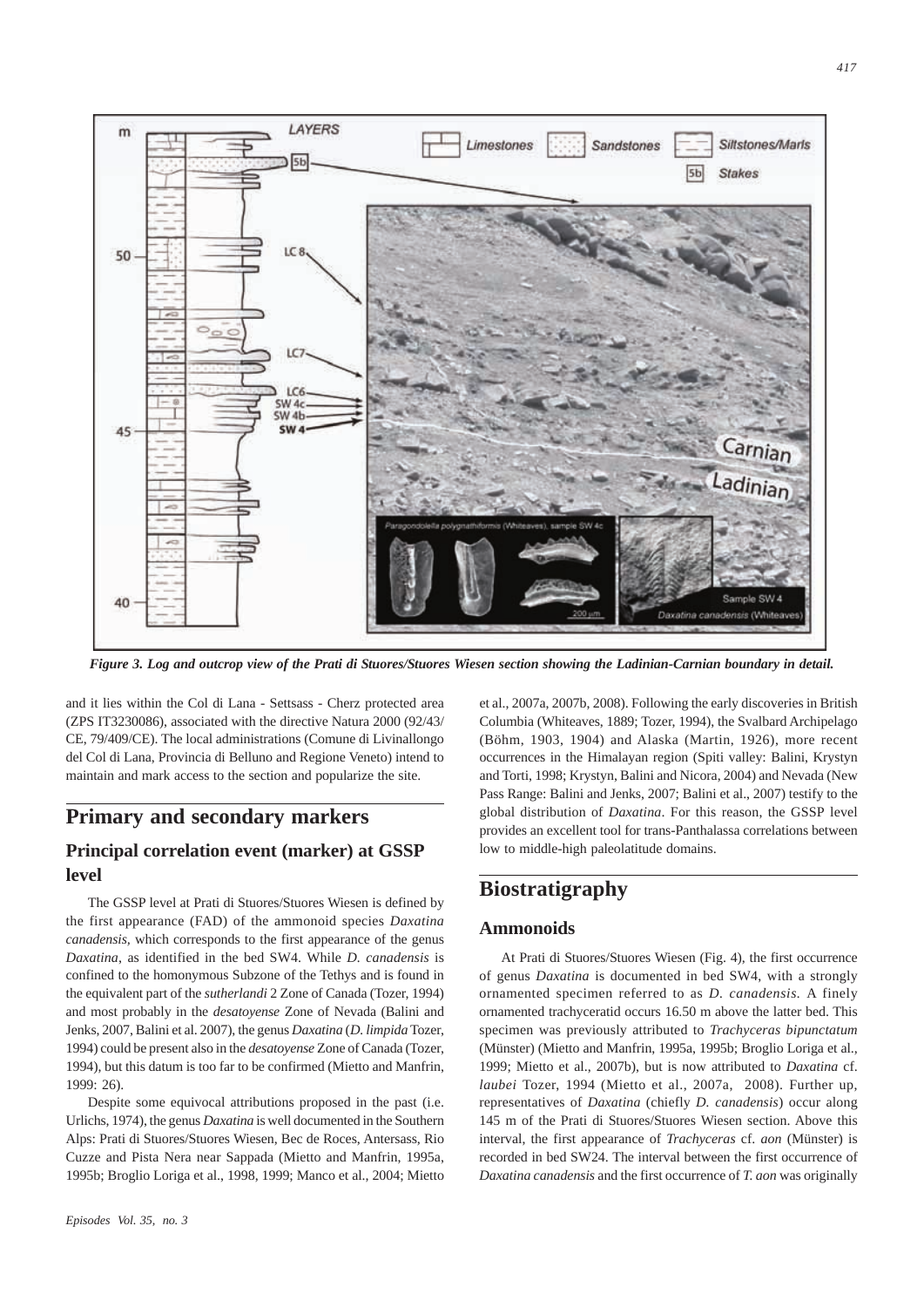

*Figure 3. Log and outcrop view of the Prati di Stuores/Stuores Wiesen section showing the Ladinian-Carnian boundary in detail.*

and it lies within the Col di Lana - Settsass - Cherz protected area (ZPS IT3230086), associated with the directive Natura 2000 (92/43/ CE, 79/409/CE). The local administrations (Comune di Livinallongo del Col di Lana, Provincia di Belluno and Regione Veneto) intend to maintain and mark access to the section and popularize the site.

## **Primary and secondary markers**

## **Principal correlation event (marker) at GSSP level**

The GSSP level at Prati di Stuores/Stuores Wiesen is defined by the first appearance (FAD) of the ammonoid species *Daxatina canadensis,* which corresponds to the first appearance of the genus *Daxatina*, as identified in the bed SW4. While *D. canadensis* is confined to the homonymous Subzone of the Tethys and is found in the equivalent part of the *sutherlandi* 2 Zone of Canada (Tozer, 1994) and most probably in the *desatoyense* Zone of Nevada (Balini and Jenks, 2007, Balini et al. 2007), the genus *Daxatina* (*D. limpida* Tozer, 1994) could be present also in the *desatoyense* Zone of Canada (Tozer, 1994), but this datum is too far to be confirmed (Mietto and Manfrin, 1999: 26).

Despite some equivocal attributions proposed in the past (i.e. Urlichs, 1974), the genus *Daxatina* is well documented in the Southern Alps: Prati di Stuores/Stuores Wiesen, Bec de Roces, Antersass, Rio Cuzze and Pista Nera near Sappada (Mietto and Manfrin, 1995a, 1995b; Broglio Loriga et al., 1998, 1999; Manco et al., 2004; Mietto et al., 2007a, 2007b, 2008). Following the early discoveries in British Columbia (Whiteaves, 1889; Tozer, 1994), the Svalbard Archipelago (Böhm, 1903, 1904) and Alaska (Martin, 1926), more recent occurrences in the Himalayan region (Spiti valley: Balini, Krystyn and Torti, 1998; Krystyn, Balini and Nicora, 2004) and Nevada (New Pass Range: Balini and Jenks, 2007; Balini et al., 2007) testify to the global distribution of *Daxatina*. For this reason, the GSSP level provides an excellent tool for trans-Panthalassa correlations between low to middle-high paleolatitude domains.

## **Biostratigraphy**

#### **Ammonoids**

At Prati di Stuores/Stuores Wiesen (Fig. 4), the first occurrence of genus *Daxatina* is documented in bed SW4, with a strongly ornamented specimen referred to as *D. canadensis.* A finely ornamented trachyceratid occurs 16.50 m above the latter bed. This specimen was previously attributed to *Trachyceras bipunctatum* (Münster) (Mietto and Manfrin, 1995a, 1995b; Broglio Loriga et al., 1999; Mietto et al., 2007b), but is now attributed to *Daxatina* cf. *laubei* Tozer, 1994 (Mietto et al., 2007a, 2008). Further up, representatives of *Daxatina* (chiefly *D. canadensis*) occur along 145 m of the Prati di Stuores/Stuores Wiesen section. Above this interval, the first appearance of *Trachyceras* cf. *aon* (Münster) is recorded in bed SW24. The interval between the first occurrence of *Daxatina canadensis* and the first occurrence of *T. aon* was originally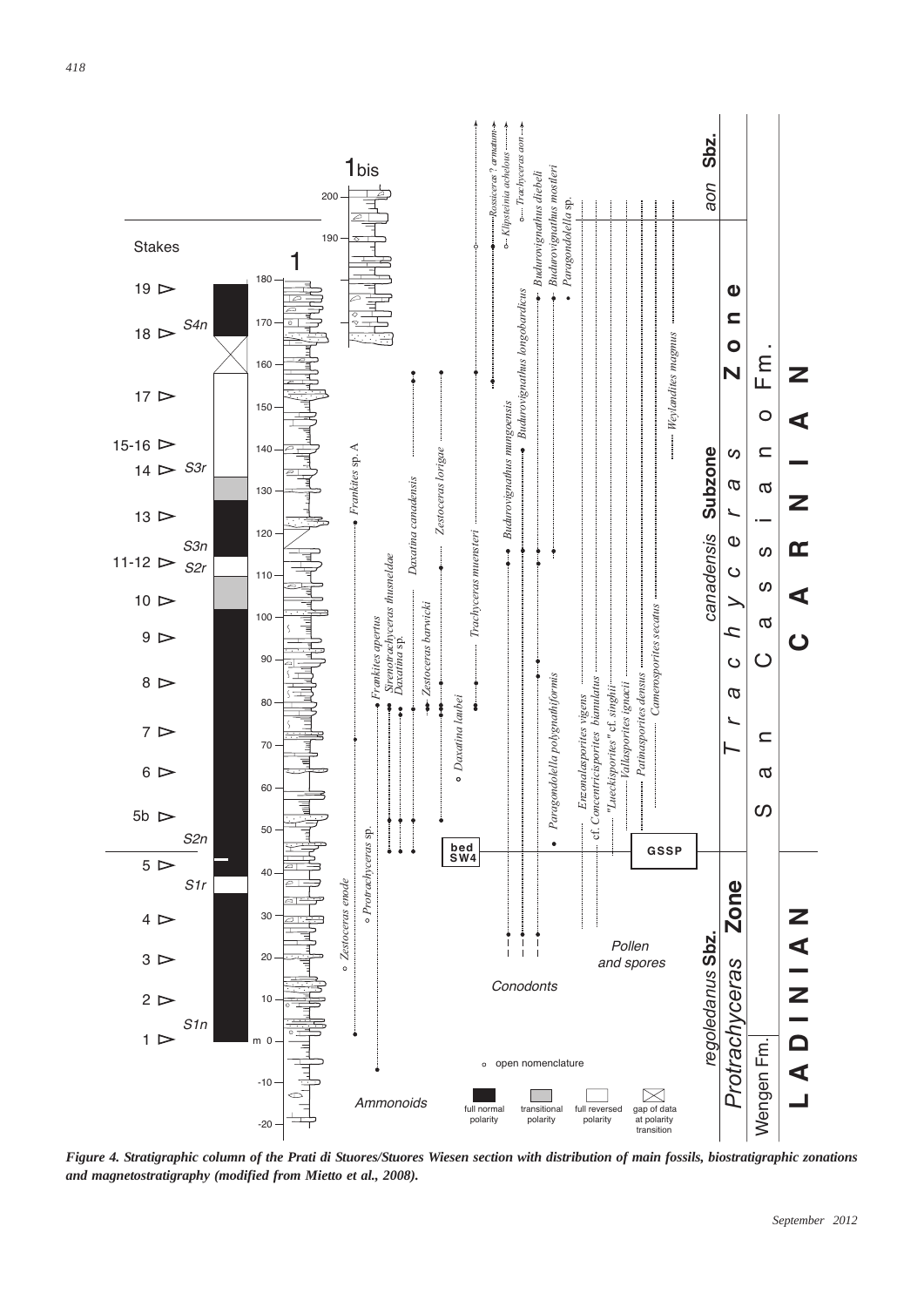

*Figure 4. Stratigraphic column of the Prati di Stuores/Stuores Wiesen section with distribution of main fossils, biostratigraphic zonations and magnetostratigraphy (modified from Mietto et al., 2008).*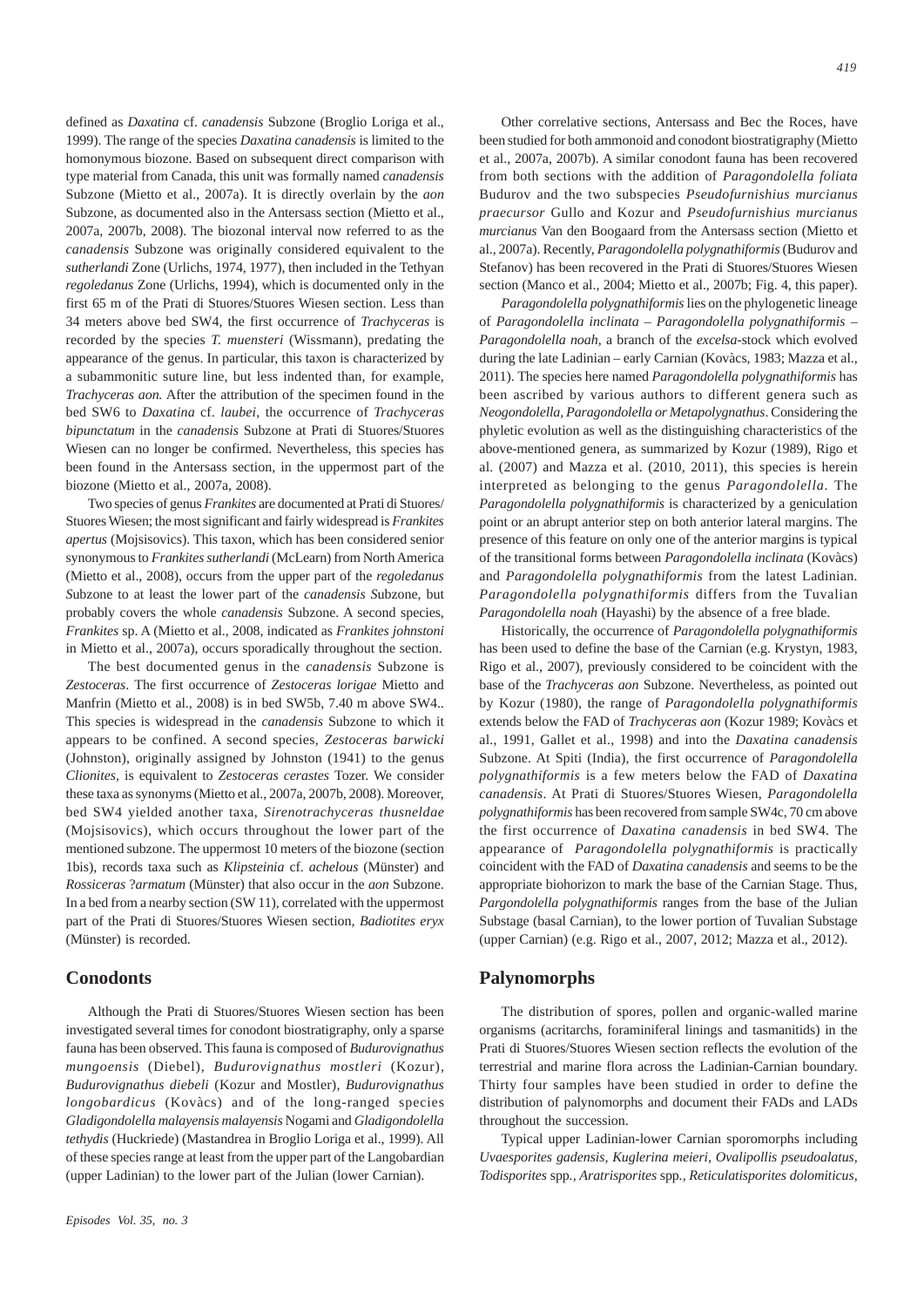defined as *Daxatina* cf. *canadensis* Subzone (Broglio Loriga et al., 1999). The range of the species *Daxatina canadensis* is limited to the homonymous biozone. Based on subsequent direct comparison with type material from Canada, this unit was formally named *canadensis* Subzone (Mietto et al., 2007a). It is directly overlain by the *aon* Subzone, as documented also in the Antersass section (Mietto et al., 2007a, 2007b, 2008). The biozonal interval now referred to as the *canadensis* Subzone was originally considered equivalent to the *sutherlandi* Zone (Urlichs, 1974, 1977), then included in the Tethyan *regoledanus* Zone (Urlichs, 1994), which is documented only in the first 65 m of the Prati di Stuores/Stuores Wiesen section. Less than 34 meters above bed SW4, the first occurrence of *Trachyceras* is recorded by the species *T. muensteri* (Wissmann), predating the appearance of the genus. In particular, this taxon is characterized by a subammonitic suture line, but less indented than, for example, *Trachyceras aon.* After the attribution of the specimen found in the bed SW6 to *Daxatina* cf. *laubei*, the occurrence of *Trachyceras bipunctatum* in the *canadensis* Subzone at Prati di Stuores/Stuores Wiesen can no longer be confirmed. Nevertheless, this species has been found in the Antersass section, in the uppermost part of the biozone (Mietto et al., 2007a, 2008).

Two species of genus *Frankites* are documented at Prati di Stuores/ Stuores Wiesen; the most significant and fairly widespread is *Frankites apertus* (Mojsisovics). This taxon, which has been considered senior synonymous to *Frankites sutherlandi* (McLearn) from North America (Mietto et al., 2008), occurs from the upper part of the *regoledanus S*ubzone to at least the lower part of the *canadensis S*ubzone, but probably covers the whole *canadensis* Subzone. A second species, *Frankites* sp. A (Mietto et al., 2008, indicated as *Frankites johnstoni* in Mietto et al., 2007a), occurs sporadically throughout the section.

The best documented genus in the *canadensis* Subzone is *Zestoceras*. The first occurrence of *Zestoceras lorigae* Mietto and Manfrin (Mietto et al., 2008) is in bed SW5b, 7.40 m above SW4.. This species is widespread in the *canadensis* Subzone to which it appears to be confined. A second species*, Zestoceras barwicki* (Johnston), originally assigned by Johnston (1941) to the genus *Clionites,* is equivalent to *Zestoceras cerastes* Tozer. We consider these taxa as synonyms (Mietto et al., 2007a, 2007b, 2008). Moreover, bed SW4 yielded another taxa, *Sirenotrachyceras thusneldae* (Mojsisovics), which occurs throughout the lower part of the mentioned subzone. The uppermost 10 meters of the biozone (section 1bis), records taxa such as *Klipsteinia* cf. *achelous* (Münster) and *Rossiceras* ?*armatum* (Münster) that also occur in the *aon* Subzone. In a bed from a nearby section (SW 11), correlated with the uppermost part of the Prati di Stuores/Stuores Wiesen section, *Badiotites eryx* (Münster) is recorded.

#### **Conodonts**

Although the Prati di Stuores/Stuores Wiesen section has been investigated several times for conodont biostratigraphy, only a sparse fauna has been observed. This fauna is composed of *Budurovignathus mungoensis* (Diebel)*, Budurovignathus mostleri* (Kozur)*, Budurovignathus diebeli* (Kozur and Mostler)*, Budurovignathus longobardicus* (Kovàcs) and of the long-ranged species *Gladigondolella malayensis malayensis* Nogami and *Gladigondolella tethydis* (Huckriede) (Mastandrea in Broglio Loriga et al., 1999). All of these species range at least from the upper part of the Langobardian (upper Ladinian) to the lower part of the Julian (lower Carnian).

Other correlative sections, Antersass and Bec the Roces, have been studied for both ammonoid and conodont biostratigraphy (Mietto et al., 2007a, 2007b). A similar conodont fauna has been recovered from both sections with the addition of *Paragondolella foliata* Budurov and the two subspecies *Pseudofurnishius murcianus praecursor* Gullo and Kozur and *Pseudofurnishius murcianus murcianus* Van den Boogaard from the Antersass section (Mietto et al., 2007a). Recently, *Paragondolella polygnathiformis* (Budurov and Stefanov) has been recovered in the Prati di Stuores/Stuores Wiesen section (Manco et al., 2004; Mietto et al., 2007b; Fig. 4, this paper).

*Paragondolella polygnathiformis* lies on the phylogenetic lineage of *Paragondolella inclinata – Paragondolella polygnathiformis – Paragondolella noah*, a branch of the *excelsa*-stock which evolved during the late Ladinian – early Carnian (Kovàcs, 1983; Mazza et al., 2011). The species here named *Paragondolella polygnathiformis* has been ascribed by various authors to different genera such as *Neogondolella, Paragondolella or Metapolygnathus*. Considering the phyletic evolution as well as the distinguishing characteristics of the above-mentioned genera, as summarized by Kozur (1989), Rigo et al. (2007) and Mazza et al. (2010, 2011), this species is herein interpreted as belonging to the genus *Paragondolella*. The *Paragondolella polygnathiformis* is characterized by a geniculation point or an abrupt anterior step on both anterior lateral margins. The presence of this feature on only one of the anterior margins is typical of the transitional forms between *Paragondolella inclinata* (Kovàcs) and *Paragondolella polygnathiformis* from the latest Ladinian*. Paragondolella polygnathiformis* differs from the Tuvalian *Paragondolella noah* (Hayashi) by the absence of a free blade.

Historically, the occurrence of *Paragondolella polygnathiformis* has been used to define the base of the Carnian (e.g. Krystyn, 1983, Rigo et al., 2007), previously considered to be coincident with the base of the *Trachyceras aon* Subzone. Nevertheless, as pointed out by Kozur (1980), the range of *Paragondolella polygnathiformis* extends below the FAD of *Trachyceras aon* (Kozur 1989; Kovàcs et al., 1991, Gallet et al., 1998) and into the *Daxatina canadensis* Subzone. At Spiti (India), the first occurrence of *Paragondolella polygnathiformis* is a few meters below the FAD of *Daxatina canadensis*. At Prati di Stuores/Stuores Wiesen, *Paragondolella polygnathiformis* has been recovered from sample SW4c, 70 cm above the first occurrence of *Daxatina canadensis* in bed SW4*.* The appearance of *Paragondolella polygnathiformis* is practically coincident with the FAD of *Daxatina canadensis* and seems to be the appropriate biohorizon to mark the base of the Carnian Stage. Thus, *Pargondolella polygnathiformis* ranges from the base of the Julian Substage (basal Carnian), to the lower portion of Tuvalian Substage (upper Carnian) (e.g. Rigo et al., 2007, 2012; Mazza et al., 2012).

#### **Palynomorphs**

The distribution of spores, pollen and organic-walled marine organisms (acritarchs, foraminiferal linings and tasmanitids) in the Prati di Stuores/Stuores Wiesen section reflects the evolution of the terrestrial and marine flora across the Ladinian-Carnian boundary. Thirty four samples have been studied in order to define the distribution of palynomorphs and document their FADs and LADs throughout the succession.

Typical upper Ladinian-lower Carnian sporomorphs including *Uvaesporites gadensis, Kuglerina meieri, Ovalipollis pseudoalatus, Todisporites* spp*., Aratrisporites* spp*., Reticulatisporites dolomiticus,*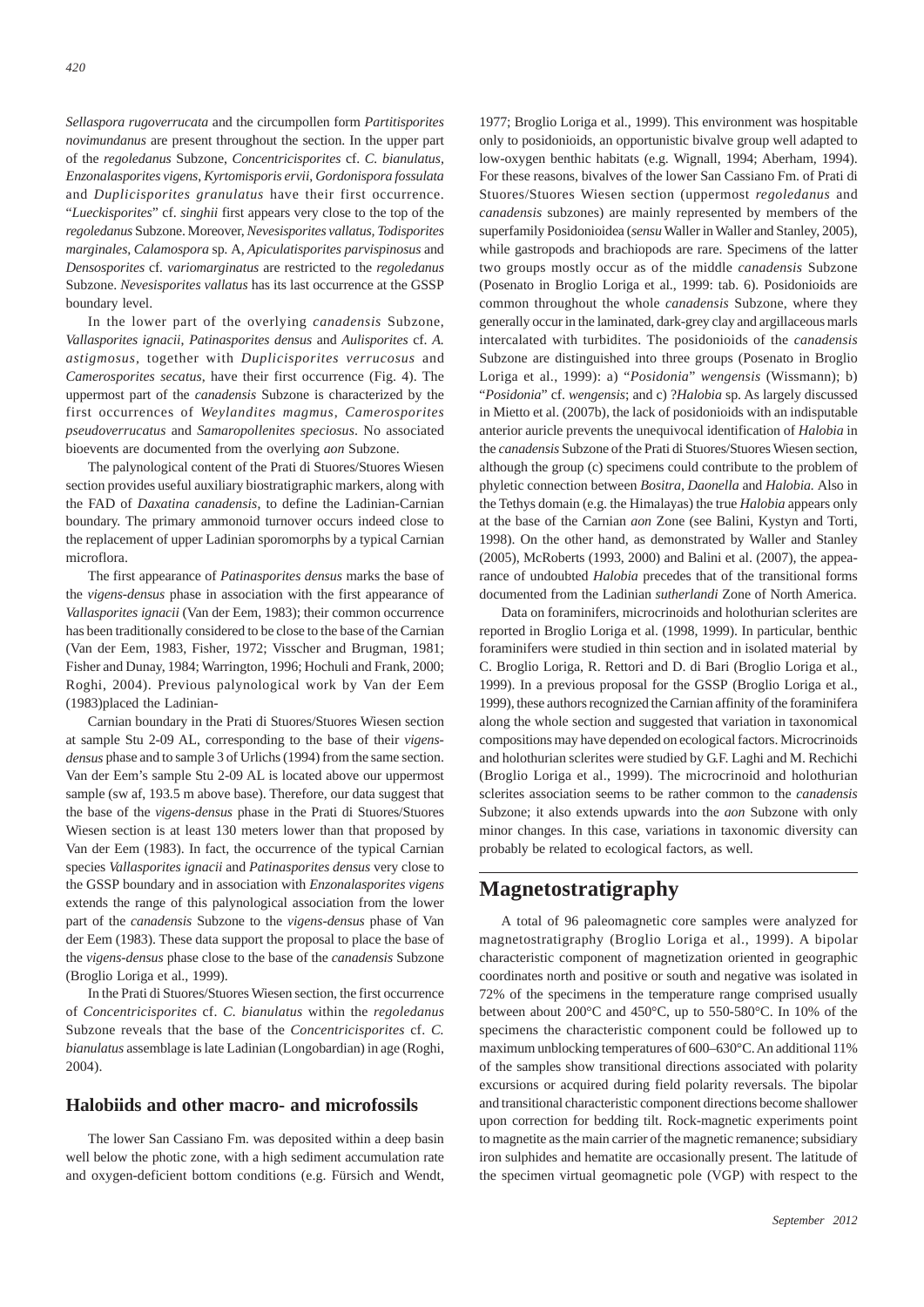*Sellaspora rugoverrucata* and the circumpollen form *Partitisporites novimundanus* are present throughout the section. In the upper part of the *regoledanus* Subzone, *Concentricisporites* cf. *C. bianulatus, Enzonalasporites vigens*, *Kyrtomisporis ervii*, *Gordonispora fossulata* and *Duplicisporites granulatus* have their first occurrence. "*Lueckisporites*" cf. *singhii* first appears very close to the top of the *regoledanus* Subzone. Moreover, *Nevesisporites vallatus, Todisporites marginales, Calamospora* sp*.* A*, Apiculatisporites parvispinosus* and *Densosporites* cf*. variomarginatus* are restricted to the *regoledanus* Subzone. *Nevesisporites vallatus* has its last occurrence at the GSSP boundary level.

In the lower part of the overlying *canadensis* Subzone, *Vallasporites ignacii*, *Patinasporites densus* and *Aulisporites* cf. *A. astigmosus,* together with *Duplicisporites verrucosus* and *Camerosporites secatus*, have their first occurrence (Fig. 4). The uppermost part of the *canadensis* Subzone is characterized by the first occurrences of *Weylandites magmus*, *Camerosporites pseudoverrucatus* and *Samaropollenites speciosus*. No associated bioevents are documented from the overlying *aon* Subzone.

The palynological content of the Prati di Stuores/Stuores Wiesen section provides useful auxiliary biostratigraphic markers, along with the FAD of *Daxatina canadensis*, to define the Ladinian-Carnian boundary. The primary ammonoid turnover occurs indeed close to the replacement of upper Ladinian sporomorphs by a typical Carnian microflora.

The first appearance of *Patinasporites densus* marks the base of the *vigens*-*densus* phase in association with the first appearance of *Vallasporites ignacii* (Van der Eem, 1983); their common occurrence has been traditionally considered to be close to the base of the Carnian (Van der Eem, 1983, Fisher, 1972; Visscher and Brugman, 1981; Fisher and Dunay, 1984; Warrington, 1996; Hochuli and Frank, 2000; Roghi, 2004). Previous palynological work by Van der Eem (1983)placed the Ladinian-

Carnian boundary in the Prati di Stuores/Stuores Wiesen section at sample Stu 2-09 AL, corresponding to the base of their *vigensdensus* phase and to sample 3 of Urlichs (1994) from the same section. Van der Eem's sample Stu 2-09 AL is located above our uppermost sample (sw af, 193.5 m above base). Therefore, our data suggest that the base of the *vigens-densus* phase in the Prati di Stuores/Stuores Wiesen section is at least 130 meters lower than that proposed by Van der Eem (1983). In fact, the occurrence of the typical Carnian species *Vallasporites ignacii* and *Patinasporites densus* very close to the GSSP boundary and in association with *Enzonalasporites vigens* extends the range of this palynological association from the lower part of the *canadensis* Subzone to the *vigens*-*densus* phase of Van der Eem (1983). These data support the proposal to place the base of the *vigens-densus* phase close to the base of the *canadensis* Subzone (Broglio Loriga et al., 1999).

In the Prati di Stuores/Stuores Wiesen section, the first occurrence of *Concentricisporites* cf. *C. bianulatus* within the *regoledanus* Subzone reveals that the base of the *Concentricisporites* cf. *C. bianulatus* assemblage is late Ladinian (Longobardian) in age (Roghi, 2004).

#### **Halobiids and other macro- and microfossils**

The lower San Cassiano Fm. was deposited within a deep basin well below the photic zone, with a high sediment accumulation rate and oxygen-deficient bottom conditions (e.g. Fürsich and Wendt,

1977; Broglio Loriga et al., 1999). This environment was hospitable only to posidonioids, an opportunistic bivalve group well adapted to low-oxygen benthic habitats (e.g. Wignall, 1994; Aberham, 1994). For these reasons, bivalves of the lower San Cassiano Fm. of Prati di Stuores/Stuores Wiesen section (uppermost *regoledanus* and *canadensis* subzones) are mainly represented by members of the superfamily Posidonioidea (*sensu* Waller in Waller and Stanley, 2005), while gastropods and brachiopods are rare. Specimens of the latter two groups mostly occur as of the middle *canadensis* Subzone (Posenato in Broglio Loriga et al., 1999: tab. 6). Posidonioids are common throughout the whole *canadensis* Subzone, where they generally occur in the laminated, dark-grey clay and argillaceous marls intercalated with turbidites. The posidonioids of the *canadensis* Subzone are distinguished into three groups (Posenato in Broglio Loriga et al., 1999): a) "*Posidonia*" *wengensis* (Wissmann); b) "*Posidonia*" cf. *wengensis*; and c) ?*Halobia* sp. As largely discussed in Mietto et al. (2007b), the lack of posidonioids with an indisputable anterior auricle prevents the unequivocal identification of *Halobia* in the *canadensis* Subzone of the Prati di Stuores/Stuores Wiesen section, although the group (c) specimens could contribute to the problem of phyletic connection between *Bositra, Daonella* and *Halobia.* Also in the Tethys domain (e.g. the Himalayas) the true *Halobia* appears only at the base of the Carnian *aon* Zone (see Balini, Kystyn and Torti, 1998). On the other hand, as demonstrated by Waller and Stanley (2005), McRoberts (1993, 2000) and Balini et al. (2007), the appearance of undoubted *Halobia* precedes that of the transitional forms documented from the Ladinian *sutherlandi* Zone of North America.

Data on foraminifers, microcrinoids and holothurian sclerites are reported in Broglio Loriga et al. (1998, 1999). In particular, benthic foraminifers were studied in thin section and in isolated material by C. Broglio Loriga, R. Rettori and D. di Bari (Broglio Loriga et al., 1999). In a previous proposal for the GSSP (Broglio Loriga et al., 1999), these authors recognized the Carnian affinity of the foraminifera along the whole section and suggested that variation in taxonomical compositions may have depended on ecological factors. Microcrinoids and holothurian sclerites were studied by G.F. Laghi and M. Rechichi (Broglio Loriga et al., 1999). The microcrinoid and holothurian sclerites association seems to be rather common to the *canadensis* Subzone; it also extends upwards into the *aon* Subzone with only minor changes. In this case, variations in taxonomic diversity can probably be related to ecological factors, as well.

## **Magnetostratigraphy**

A total of 96 paleomagnetic core samples were analyzed for magnetostratigraphy (Broglio Loriga et al., 1999). A bipolar characteristic component of magnetization oriented in geographic coordinates north and positive or south and negative was isolated in 72% of the specimens in the temperature range comprised usually between about 200°C and 450°C, up to 550-580°C. In 10% of the specimens the characteristic component could be followed up to maximum unblocking temperatures of 600–630°C. An additional 11% of the samples show transitional directions associated with polarity excursions or acquired during field polarity reversals. The bipolar and transitional characteristic component directions become shallower upon correction for bedding tilt. Rock-magnetic experiments point to magnetite as the main carrier of the magnetic remanence; subsidiary iron sulphides and hematite are occasionally present. The latitude of the specimen virtual geomagnetic pole (VGP) with respect to the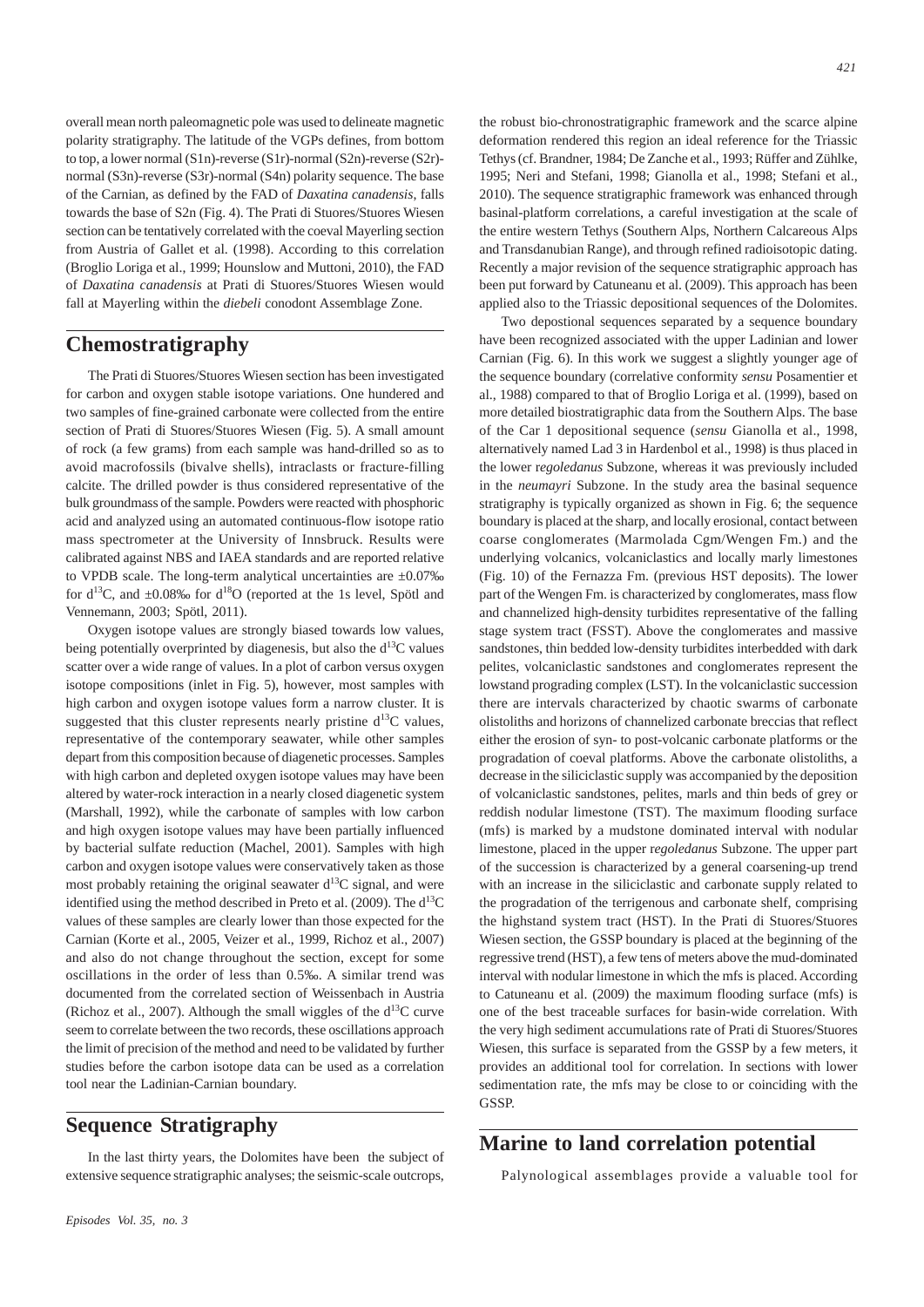overall mean north paleomagnetic pole was used to delineate magnetic polarity stratigraphy. The latitude of the VGPs defines, from bottom to top, a lower normal (S1n)-reverse (S1r)-normal (S2n)-reverse (S2r) normal (S3n)-reverse (S3r)-normal (S4n) polarity sequence. The base of the Carnian, as defined by the FAD of *Daxatina canadensis*, falls towards the base of S2n (Fig. 4). The Prati di Stuores/Stuores Wiesen section can be tentatively correlated with the coeval Mayerling section from Austria of Gallet et al. (1998). According to this correlation (Broglio Loriga et al., 1999; Hounslow and Muttoni, 2010), the FAD of *Daxatina canadensis* at Prati di Stuores/Stuores Wiesen would fall at Mayerling within the *diebeli* conodont Assemblage Zone.

### **Chemostratigraphy**

The Prati di Stuores/Stuores Wiesen section has been investigated for carbon and oxygen stable isotope variations. One hundered and two samples of fine-grained carbonate were collected from the entire section of Prati di Stuores/Stuores Wiesen (Fig. 5). A small amount of rock (a few grams) from each sample was hand-drilled so as to avoid macrofossils (bivalve shells), intraclasts or fracture-filling calcite. The drilled powder is thus considered representative of the bulk groundmass of the sample. Powders were reacted with phosphoric acid and analyzed using an automated continuous-flow isotope ratio mass spectrometer at the University of Innsbruck. Results were calibrated against NBS and IAEA standards and are reported relative to VPDB scale. The long-term analytical uncertainties are  $\pm 0.07\%$ for  $d^{13}C$ , and  $\pm 0.08\%$  for  $d^{18}O$  (reported at the 1s level, Spötl and Vennemann, 2003; Spötl, 2011).

Oxygen isotope values are strongly biased towards low values, being potentially overprinted by diagenesis, but also the  $d^{13}C$  values scatter over a wide range of values. In a plot of carbon versus oxygen isotope compositions (inlet in Fig. 5), however, most samples with high carbon and oxygen isotope values form a narrow cluster. It is suggested that this cluster represents nearly pristine  $d^{13}C$  values, representative of the contemporary seawater, while other samples depart from this composition because of diagenetic processes. Samples with high carbon and depleted oxygen isotope values may have been altered by water-rock interaction in a nearly closed diagenetic system (Marshall, 1992), while the carbonate of samples with low carbon and high oxygen isotope values may have been partially influenced by bacterial sulfate reduction (Machel, 2001). Samples with high carbon and oxygen isotope values were conservatively taken as those most probably retaining the original seawater  $d^{13}C$  signal, and were identified using the method described in Preto et al. (2009). The  $d^{13}C$ values of these samples are clearly lower than those expected for the Carnian (Korte et al., 2005, Veizer et al., 1999, Richoz et al., 2007) and also do not change throughout the section, except for some oscillations in the order of less than 0.5‰. A similar trend was documented from the correlated section of Weissenbach in Austria (Richoz et al., 2007). Although the small wiggles of the  $d^{13}C$  curve seem to correlate between the two records, these oscillations approach the limit of precision of the method and need to be validated by further studies before the carbon isotope data can be used as a correlation tool near the Ladinian-Carnian boundary.

## **Sequence Stratigraphy**

In the last thirty years, the Dolomites have been the subject of extensive sequence stratigraphic analyses; the seismic-scale outcrops,

the robust bio-chronostratigraphic framework and the scarce alpine deformation rendered this region an ideal reference for the Triassic Tethys (cf. Brandner, 1984; De Zanche et al., 1993; Rüffer and Zühlke, 1995; Neri and Stefani, 1998; Gianolla et al., 1998; Stefani et al., 2010). The sequence stratigraphic framework was enhanced through basinal-platform correlations, a careful investigation at the scale of the entire western Tethys (Southern Alps, Northern Calcareous Alps and Transdanubian Range), and through refined radioisotopic dating. Recently a major revision of the sequence stratigraphic approach has been put forward by Catuneanu et al. (2009). This approach has been applied also to the Triassic depositional sequences of the Dolomites.

Two depostional sequences separated by a sequence boundary have been recognized associated with the upper Ladinian and lower Carnian (Fig. 6). In this work we suggest a slightly younger age of the sequence boundary (correlative conformity *sensu* Posamentier et al., 1988) compared to that of Broglio Loriga et al. (1999), based on more detailed biostratigraphic data from the Southern Alps. The base of the Car 1 depositional sequence (*sensu* Gianolla et al., 1998, alternatively named Lad 3 in Hardenbol et al., 1998) is thus placed in the lower r*egoledanus* Subzone, whereas it was previously included in the *neumayri* Subzone. In the study area the basinal sequence stratigraphy is typically organized as shown in Fig. 6; the sequence boundary is placed at the sharp, and locally erosional, contact between coarse conglomerates (Marmolada Cgm/Wengen Fm.) and the underlying volcanics, volcaniclastics and locally marly limestones (Fig. 10) of the Fernazza Fm. (previous HST deposits). The lower part of the Wengen Fm. is characterized by conglomerates, mass flow and channelized high-density turbidites representative of the falling stage system tract (FSST). Above the conglomerates and massive sandstones, thin bedded low-density turbidites interbedded with dark pelites, volcaniclastic sandstones and conglomerates represent the lowstand prograding complex (LST). In the volcaniclastic succession there are intervals characterized by chaotic swarms of carbonate olistoliths and horizons of channelized carbonate breccias that reflect either the erosion of syn- to post-volcanic carbonate platforms or the progradation of coeval platforms. Above the carbonate olistoliths, a decrease in the siliciclastic supply was accompanied by the deposition of volcaniclastic sandstones, pelites, marls and thin beds of grey or reddish nodular limestone (TST). The maximum flooding surface (mfs) is marked by a mudstone dominated interval with nodular limestone, placed in the upper r*egoledanus* Subzone. The upper part of the succession is characterized by a general coarsening-up trend with an increase in the siliciclastic and carbonate supply related to the progradation of the terrigenous and carbonate shelf, comprising the highstand system tract (HST). In the Prati di Stuores/Stuores Wiesen section, the GSSP boundary is placed at the beginning of the regressive trend (HST), a few tens of meters above the mud-dominated interval with nodular limestone in which the mfs is placed. According to Catuneanu et al. (2009) the maximum flooding surface (mfs) is one of the best traceable surfaces for basin-wide correlation. With the very high sediment accumulations rate of Prati di Stuores/Stuores Wiesen, this surface is separated from the GSSP by a few meters, it provides an additional tool for correlation. In sections with lower sedimentation rate, the mfs may be close to or coinciding with the GSSP.

## **Marine to land correlation potential**

Palynological assemblages provide a valuable tool for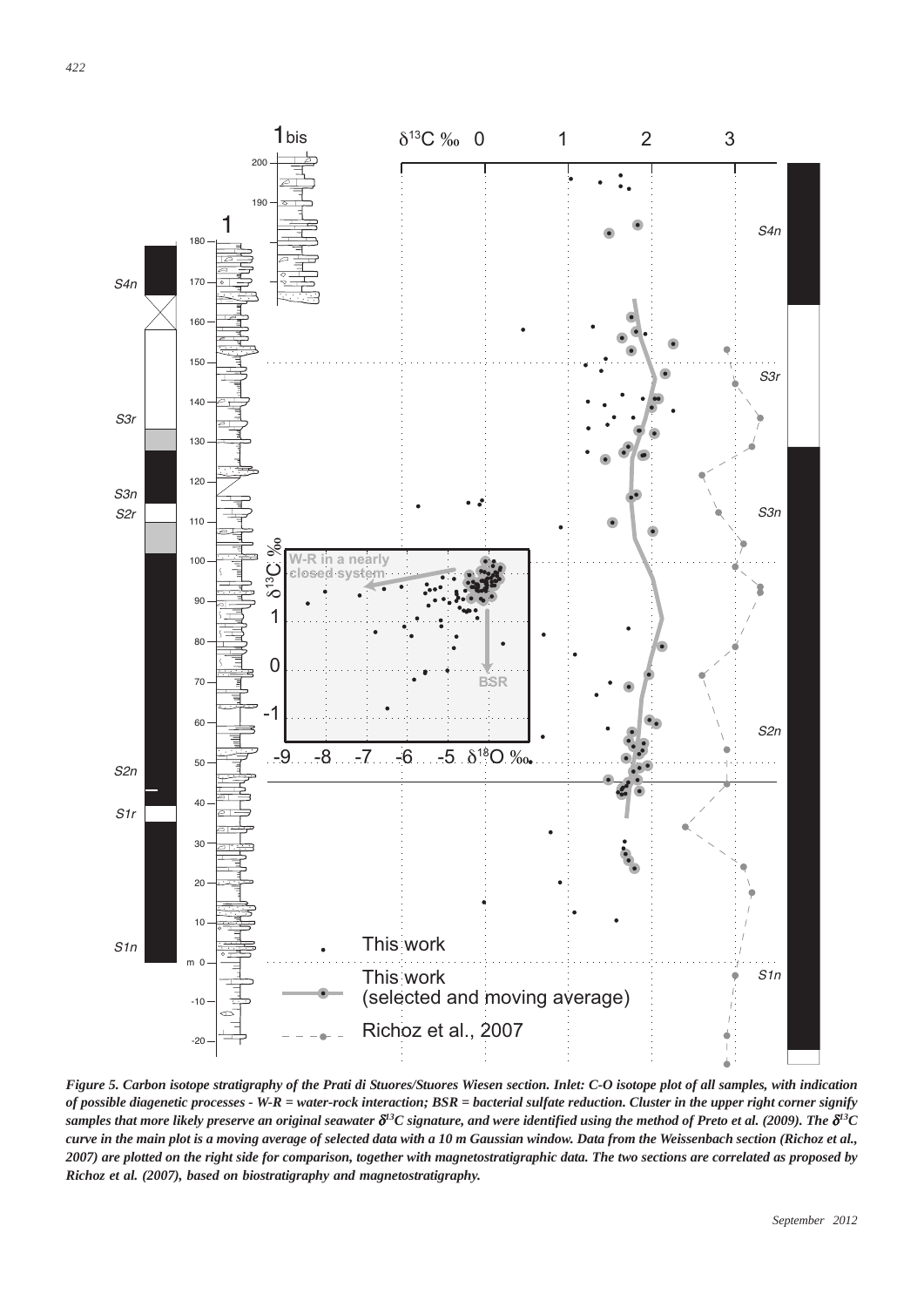

*Figure 5. Carbon isotope stratigraphy of the Prati di Stuores/Stuores Wiesen section. Inlet: C-O isotope plot of all samples, with indication of possible diagenetic processes - W-R = water-rock interaction; BSR = bacterial sulfate reduction. Cluster in the upper right corner signify* samples that more likely preserve an original seawater  $\delta^{l3}C$  signature, and were identified using the method of Preto et al. (2009). The  $\delta^{l3}C$ *curve in the main plot is a moving average of selected data with a 10 m Gaussian window. Data from the Weissenbach section (Richoz et al., 2007) are plotted on the right side for comparison, together with magnetostratigraphic data. The two sections are correlated as proposed by Richoz et al. (2007), based on biostratigraphy and magnetostratigraphy.*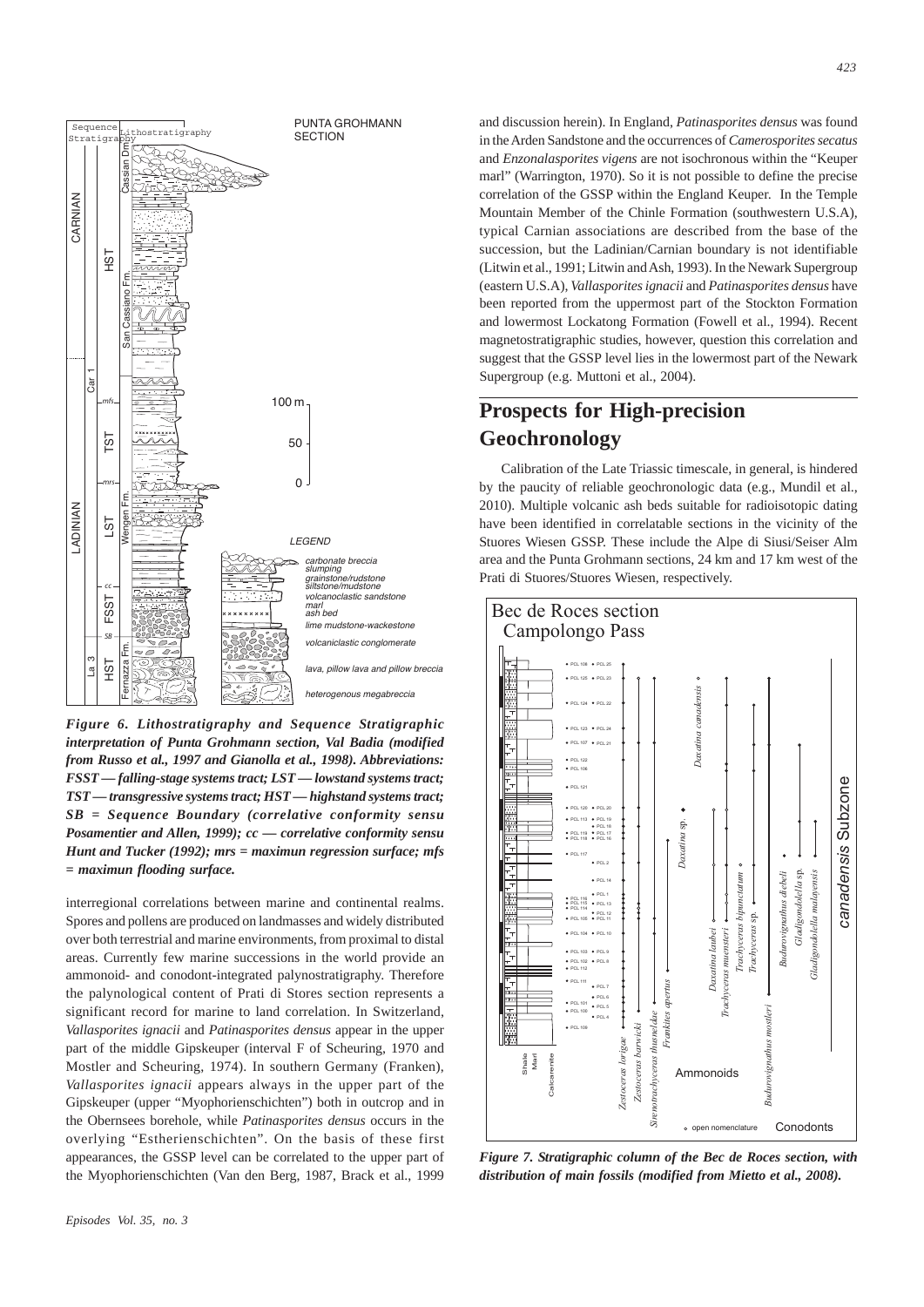

*Figure 6. Lithostratigraphy and Sequence Stratigraphic interpretation of Punta Grohmann section, Val Badia (modified from Russo et al., 1997 and Gianolla et al., 1998). Abbreviations: FSST — falling-stage systems tract; LST — lowstand systems tract; TST — transgressive systems tract; HST — highstand systems tract; SB = Sequence Boundary (correlative conformity sensu Posamentier and Allen, 1999); cc — correlative conformity sensu Hunt and Tucker (1992); mrs = maximun regression surface; mfs = maximun flooding surface.*

interregional correlations between marine and continental realms. Spores and pollens are produced on landmasses and widely distributed over both terrestrial and marine environments, from proximal to distal areas. Currently few marine successions in the world provide an ammonoid- and conodont-integrated palynostratigraphy. Therefore the palynological content of Prati di Stores section represents a significant record for marine to land correlation. In Switzerland, *Vallasporites ignacii* and *Patinasporites densus* appear in the upper part of the middle Gipskeuper (interval F of Scheuring, 1970 and Mostler and Scheuring, 1974). In southern Germany (Franken), *Vallasporites ignacii* appears always in the upper part of the Gipskeuper (upper "Myophorienschichten") both in outcrop and in the Obernsees borehole, while *Patinasporites densus* occurs in the overlying "Estherienschichten". On the basis of these first appearances, the GSSP level can be correlated to the upper part of the Myophorienschichten (Van den Berg, 1987, Brack et al., 1999

and discussion herein). In England, *Patinasporites densus* was found in the Arden Sandstone and the occurrences of *Camerosporites secatus* and *Enzonalasporites vigens* are not isochronous within the "Keuper marl" (Warrington, 1970). So it is not possible to define the precise correlation of the GSSP within the England Keuper. In the Temple Mountain Member of the Chinle Formation (southwestern U.S.A), typical Carnian associations are described from the base of the succession, but the Ladinian/Carnian boundary is not identifiable (Litwin et al., 1991; Litwin and Ash, 1993). In the Newark Supergroup (eastern U.S.A), *Vallasporites ignacii* and *Patinasporites densus* have been reported from the uppermost part of the Stockton Formation and lowermost Lockatong Formation (Fowell et al., 1994). Recent magnetostratigraphic studies, however, question this correlation and suggest that the GSSP level lies in the lowermost part of the Newark Supergroup (e.g. Muttoni et al., 2004).

# **Prospects for High-precision Geochronology**

Calibration of the Late Triassic timescale, in general, is hindered by the paucity of reliable geochronologic data (e.g., Mundil et al., 2010). Multiple volcanic ash beds suitable for radioisotopic dating have been identified in correlatable sections in the vicinity of the Stuores Wiesen GSSP. These include the Alpe di Siusi/Seiser Alm area and the Punta Grohmann sections, 24 km and 17 km west of the Prati di Stuores/Stuores Wiesen, respectively.



*Figure 7. Stratigraphic column of the Bec de Roces section, with distribution of main fossils (modified from Mietto et al., 2008).*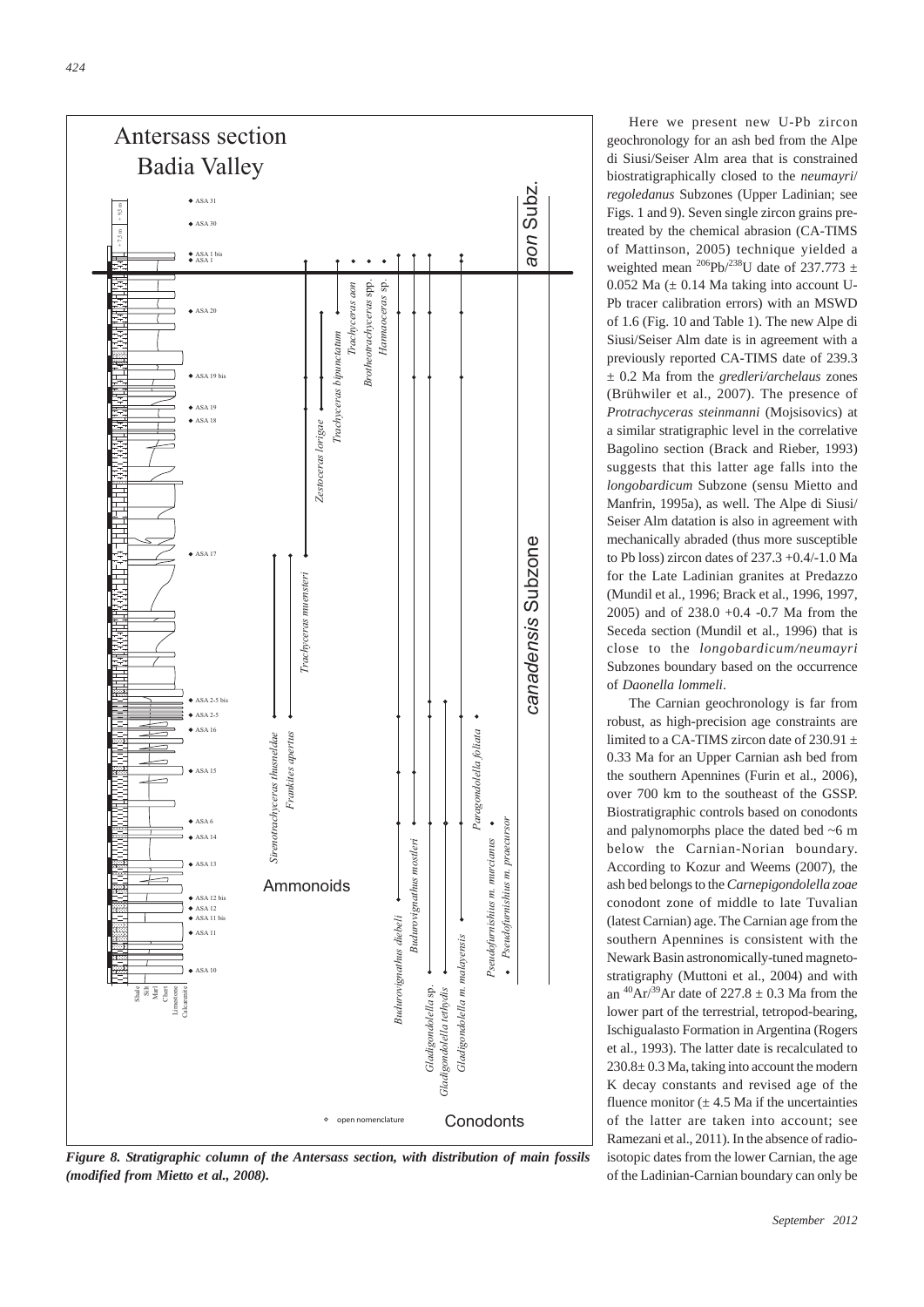

*Figure 8. Stratigraphic column of the Antersass section, with distribution of main fossils (modified from Mietto et al., 2008).*

Here we present new U-Pb zircon geochronology for an ash bed from the Alpe di Siusi/Seiser Alm area that is constrained biostratigraphically closed to the *neumayri*/ *regoledanus* Subzones (Upper Ladinian; see Figs. 1 and 9). Seven single zircon grains pretreated by the chemical abrasion (CA-TIMS of Mattinson, 2005) technique yielded a weighted mean <sup>206</sup>Pb/<sup>238</sup>U date of 237.773  $\pm$ 0.052 Ma  $(\pm 0.14$  Ma taking into account U-Pb tracer calibration errors) with an MSWD of 1.6 (Fig. 10 and Table 1). The new Alpe di Siusi/Seiser Alm date is in agreement with a previously reported CA-TIMS date of 239.3 ± 0.2 Ma from the *gredleri/archelaus* zones (Brühwiler et al., 2007). The presence of *Protrachyceras steinmanni* (Mojsisovics) at a similar stratigraphic level in the correlative Bagolino section (Brack and Rieber, 1993) suggests that this latter age falls into the *longobardicum* Subzone (sensu Mietto and Manfrin, 1995a), as well. The Alpe di Siusi/ Seiser Alm datation is also in agreement with mechanically abraded (thus more susceptible to Pb loss) zircon dates of 237.3 +0.4/-1.0 Ma for the Late Ladinian granites at Predazzo (Mundil et al., 1996; Brack et al., 1996, 1997, 2005) and of 238.0 +0.4 -0.7 Ma from the Seceda section (Mundil et al., 1996) that is close to the *longobardicum/neumayri* Subzones boundary based on the occurrence of *Daonella lommeli*.

The Carnian geochronology is far from robust, as high-precision age constraints are limited to a CA-TIMS zircon date of 230.91  $\pm$ 0.33 Ma for an Upper Carnian ash bed from the southern Apennines (Furin et al., 2006), over 700 km to the southeast of the GSSP. Biostratigraphic controls based on conodonts and palynomorphs place the dated bed ~6 m below the Carnian-Norian boundary. According to Kozur and Weems (2007), the ash bed belongs to the *Carnepigondolella zoae* conodont zone of middle to late Tuvalian (latest Carnian) age. The Carnian age from the southern Apennines is consistent with the Newark Basin astronomically-tuned magnetostratigraphy (Muttoni et al., 2004) and with an  $^{40}Ar/^{39}Ar$  date of 227.8  $\pm$  0.3 Ma from the lower part of the terrestrial, tetropod-bearing, Ischigualasto Formation in Argentina (Rogers et al., 1993). The latter date is recalculated to 230.8± 0.3 Ma, taking into account the modern K decay constants and revised age of the fluence monitor  $(\pm 4.5 \text{ Ma})$  if the uncertainties of the latter are taken into account; see Ramezani et al., 2011). In the absence of radioisotopic dates from the lower Carnian, the age of the Ladinian-Carnian boundary can only be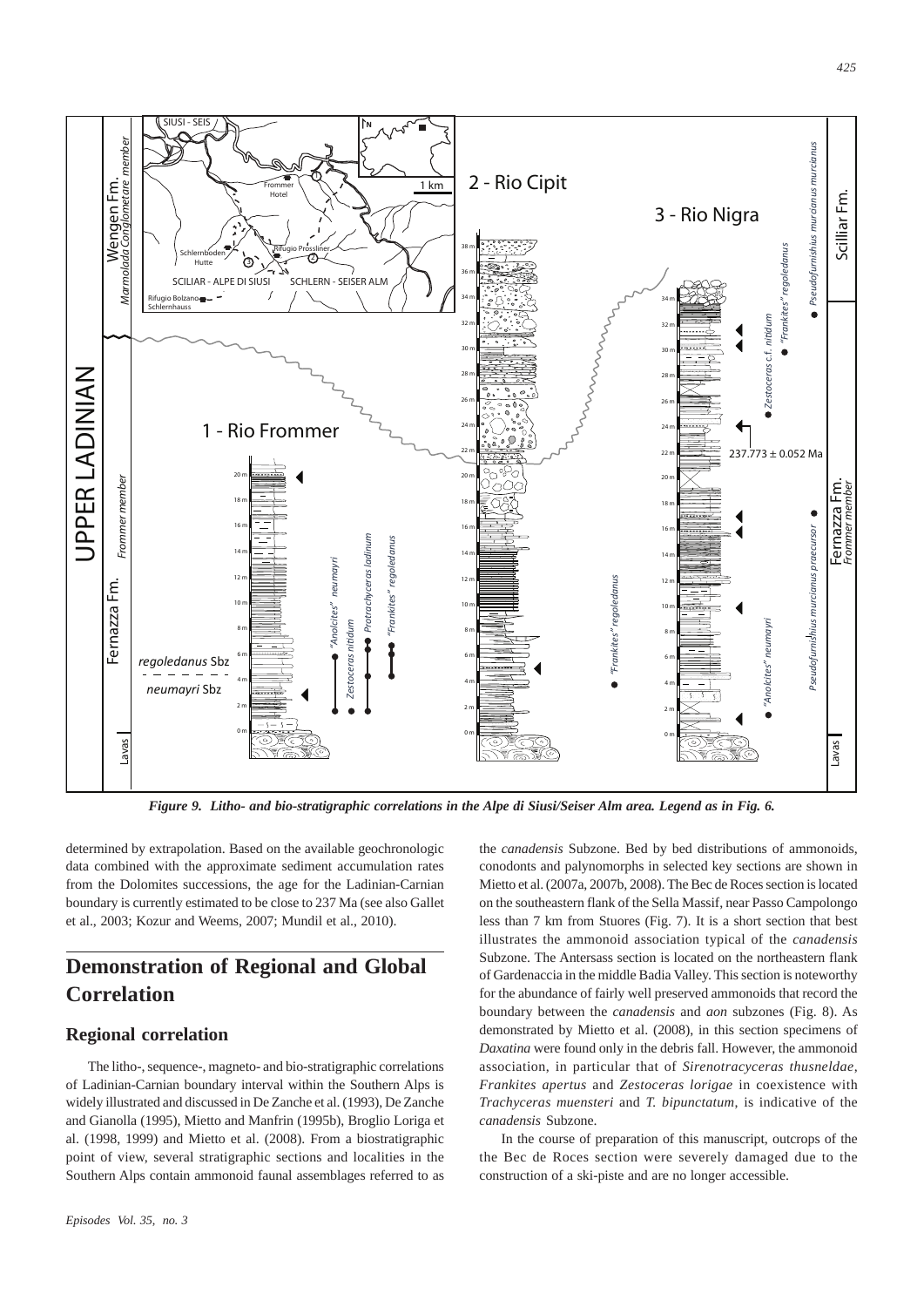

*Figure 9. Litho- and bio-stratigraphic correlations in the Alpe di Siusi/Seiser Alm area. Legend as in Fig. 6.*

determined by extrapolation. Based on the available geochronologic data combined with the approximate sediment accumulation rates from the Dolomites successions, the age for the Ladinian-Carnian boundary is currently estimated to be close to 237 Ma (see also Gallet et al., 2003; Kozur and Weems, 2007; Mundil et al., 2010).

# **Demonstration of Regional and Global Correlation**

#### **Regional correlation**

The litho-, sequence-, magneto- and bio-stratigraphic correlations of Ladinian-Carnian boundary interval within the Southern Alps is widely illustrated and discussed in De Zanche et al. (1993), De Zanche and Gianolla (1995), Mietto and Manfrin (1995b), Broglio Loriga et al. (1998, 1999) and Mietto et al. (2008). From a biostratigraphic point of view, several stratigraphic sections and localities in the Southern Alps contain ammonoid faunal assemblages referred to as

Mietto et al. (2007a, 2007b, 2008). The Bec de Roces section is located on the southeastern flank of the Sella Massif, near Passo Campolongo less than 7 km from Stuores (Fig. 7). It is a short section that best illustrates the ammonoid association typical of the *canadensis* Subzone. The Antersass section is located on the northeastern flank of Gardenaccia in the middle Badia Valley. This section is noteworthy for the abundance of fairly well preserved ammonoids that record the boundary between the *canadensis* and *aon* subzones (Fig. 8). As demonstrated by Mietto et al. (2008), in this section specimens of *Daxatina* were found only in the debris fall. However, the ammonoid association, in particular that of *Sirenotracyceras thusneldae*, *Frankites apertus* and *Zestoceras lorigae* in coexistence with *Trachyceras muensteri* and *T. bipunctatum*, is indicative of the *canadensis* Subzone.

the *canadensis* Subzone. Bed by bed distributions of ammonoids, conodonts and palynomorphs in selected key sections are shown in

In the course of preparation of this manuscript, outcrops of the the Bec de Roces section were severely damaged due to the construction of a ski-piste and are no longer accessible.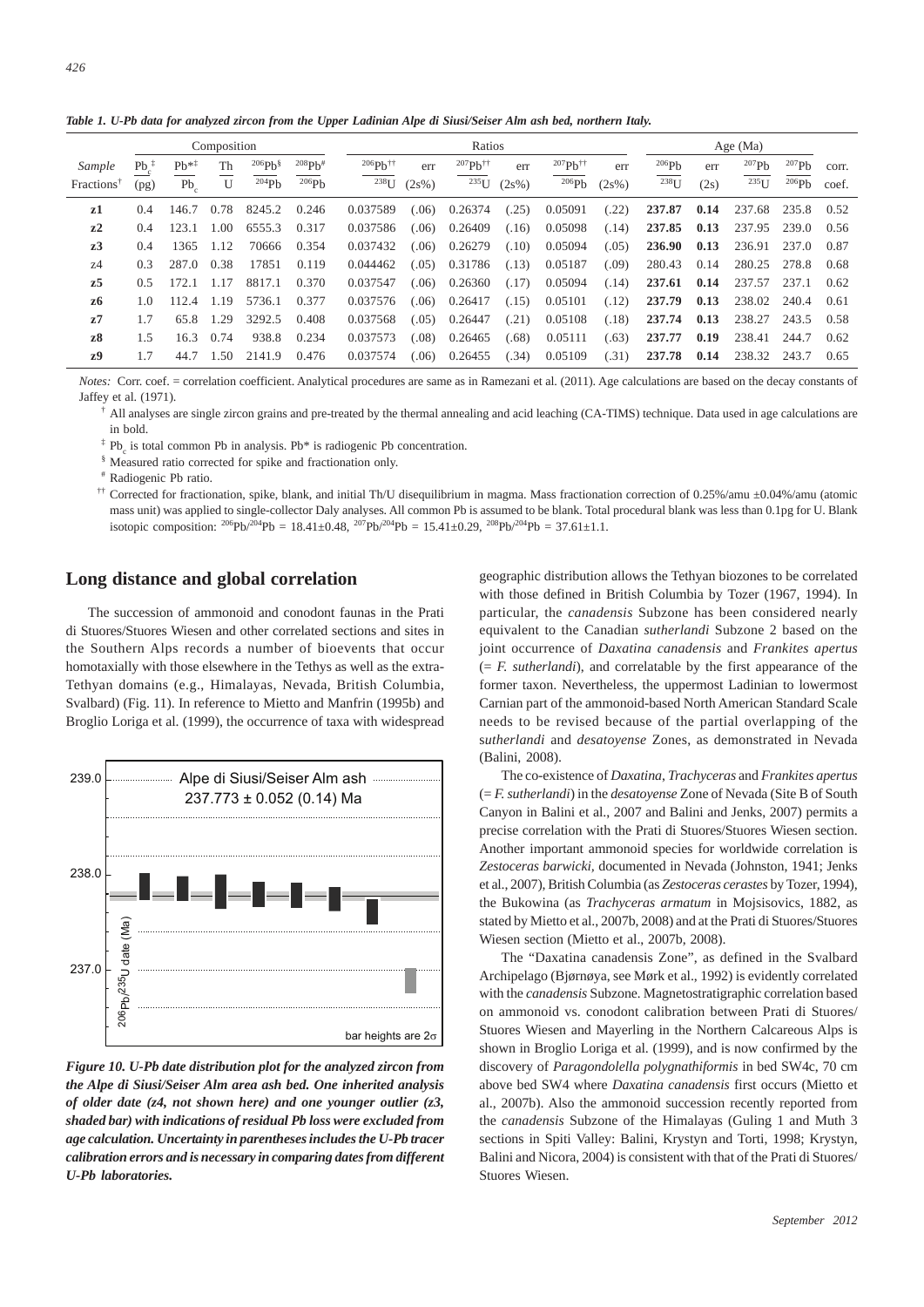*Table 1. U-Pb data for analyzed zircon from the Upper Ladinian Alpe di Siusi/Seiser Alm ash bed, northern Italy.*

|                        |               |           | Composition |                    |             |                          |       | Ratios                   |          | Age $(Ma)$                  |       |         |      |            |       |       |
|------------------------|---------------|-----------|-------------|--------------------|-------------|--------------------------|-------|--------------------------|----------|-----------------------------|-------|---------|------|------------|-------|-------|
| Sample                 | $Pb^T$        | $Pb^{*1}$ | Th          | 206Ph <sup>§</sup> | $^{208}Pb#$ | $206Ph^{\dagger\dagger}$ | err   | $207Ph^{\dagger\dagger}$ | err      | $^{207}Ph^{\dagger\dagger}$ | err   | 206Pb   | err  | 207Pb      | 207Pb | corr. |
| Fractions <sup>®</sup> | (pg)          | $Pb_c$    | U           | 204Ph              | 206Pb       | $^{238}$ U               | (2s%) | $^{235}$ U               | $(2s\%)$ | 206Pb                       | (2s%) | $238$ U | (2s) | $^{235}$ U | 206Pb | coef. |
| z1                     | 0.4           | 146.7     | 0.78        | 8245.2             | 0.246       | 0.037589                 | (.06) | 0.26374                  | (.25)    | 0.05091                     | (.22) | 237.87  | 0.14 | 237.68     | 235.8 | 0.52  |
| $z^2$                  | 0.4           | 123.1     | 1.00        | 6555.3             | 0.317       | 0.037586                 | (.06) | 0.26409                  | (.16)    | 0.05098                     | (.14) | 237.85  | 0.13 | 237.95     | 239.0 | 0.56  |
| z <sub>3</sub>         | $0.4^{\circ}$ | 1365      | 1.12        | 70666              | 0.354       | 0.037432                 | (.06) | 0.26279                  | (.10)    | 0.05094                     | (.05) | 236.90  | 0.13 | 236.91     | 237.0 | 0.87  |
| 74                     | 0.3           | 287.0     | 0.38        | 17851              | 0.119       | 0.044462                 | (.05) | 0.31786                  | (.13)    | 0.05187                     | (.09) | 280.43  | 0.14 | 280.25     | 278.8 | 0.68  |
| z5                     | 0.5           | 172.1     | 1.17        | 8817.1             | 0.370       | 0.037547                 | (.06) | 0.26360                  | (.17)    | 0.05094                     | (.14) | 237.61  | 0.14 | 237.57     | 237.1 | 0.62  |
| z6                     | 1.0           | 112.4     | 1.19        | 5736.1             | 0.377       | 0.037576                 | (.06) | 0.26417                  | (.15)    | 0.05101                     | (.12) | 237.79  | 0.13 | 238.02     | 240.4 | 0.61  |
| z7                     | 1.7           | 65.8      | 1.29        | 3292.5             | 0.408       | 0.037568                 | (.05) | 0.26447                  | (.21)    | 0.05108                     | (.18) | 237.74  | 0.13 | 238.27     | 243.5 | 0.58  |
| z8                     | 1.5           | 16.3      | 0.74        | 938.8              | 0.234       | 0.037573                 | (.08) | 0.26465                  | (.68)    | 0.05111                     | (.63) | 237.77  | 0.19 | 238.41     | 244.7 | 0.62  |
| z9                     | 1.7           | 44.7      | 1.50        | 2141.9             | 0.476       | 0.037574                 | (.06) | 0.26455                  | (.34)    | 0.05109                     | (.31) | 237.78  | 0.14 | 238.32     | 243.7 | 0.65  |

*Notes:* Corr. coef. = correlation coefficient. Analytical procedures are same as in Ramezani et al. (2011). Age calculations are based on the decay constants of Jaffey et al. (1971).

† All analyses are single zircon grains and pre-treated by the thermal annealing and acid leaching (CA-TIMS) technique. Data used in age calculations are in bold.

 $\text{Pb}_c$  is total common Pb in analysis. Pb\* is radiogenic Pb concentration.

Measured ratio corrected for spike and fractionation only.

Radiogenic Pb ratio.

†† Corrected for fractionation, spike, blank, and initial Th/U disequilibrium in magma. Mass fractionation correction of 0.25%/amu ±0.04%/amu (atomic mass unit) was applied to single-collector Daly analyses. All common Pb is assumed to be blank. Total procedural blank was less than 0.1pg for U. Blank isotopic composition:  $^{206}Pb^{/204}Pb = 18.41 \pm 0.48$ ,  $^{207}Pb^{/204}Pb = 15.41 \pm 0.29$ ,  $^{208}Pb^{/204}Pb = 37.61 \pm 1.1$ .

#### **Long distance and global correlation**

The succession of ammonoid and conodont faunas in the Prati di Stuores/Stuores Wiesen and other correlated sections and sites in the Southern Alps records a number of bioevents that occur homotaxially with those elsewhere in the Tethys as well as the extra-Tethyan domains (e.g., Himalayas, Nevada, British Columbia, Svalbard) (Fig. 11). In reference to Mietto and Manfrin (1995b) and Broglio Loriga et al. (1999), the occurrence of taxa with widespread



*Figure 10. U-Pb date distribution plot for the analyzed zircon from the Alpe di Siusi/Seiser Alm area ash bed. One inherited analysis of older date (z4, not shown here) and one younger outlier (z3, shaded bar) with indications of residual Pb loss were excluded from age calculation. Uncertainty in parentheses includes the U-Pb tracer calibration errors and is necessary in comparing dates from different U-Pb laboratories.*

geographic distribution allows the Tethyan biozones to be correlated with those defined in British Columbia by Tozer (1967, 1994). In particular, the *canadensis* Subzone has been considered nearly equivalent to the Canadian *sutherlandi* Subzone 2 based on the joint occurrence of *Daxatina canadensis* and *Frankites apertus* (= *F. sutherlandi*), and correlatable by the first appearance of the former taxon. Nevertheless, the uppermost Ladinian to lowermost Carnian part of the ammonoid-based North American Standard Scale needs to be revised because of the partial overlapping of the s*utherlandi* and *desatoyense* Zones, as demonstrated in Nevada (Balini, 2008).

The co-existence of *Daxatina*, *Trachyceras* and *Frankites apertus* (= *F. sutherlandi*) in the *desatoyense* Zone of Nevada (Site B of South Canyon in Balini et al., 2007 and Balini and Jenks, 2007) permits a precise correlation with the Prati di Stuores/Stuores Wiesen section. Another important ammonoid species for worldwide correlation is *Zestoceras barwicki,* documented in Nevada (Johnston, 1941; Jenks et al., 2007), British Columbia (as *Zestoceras cerastes* by Tozer, 1994), the Bukowina (as *Trachyceras armatum* in Mojsisovics, 1882, as stated by Mietto et al., 2007b, 2008) and at the Prati di Stuores/Stuores Wiesen section (Mietto et al., 2007b, 2008).

The "Daxatina canadensis Zone", as defined in the Svalbard Archipelago (Bjørnøya, see Mørk et al., 1992) is evidently correlated with the *canadensis* Subzone*.* Magnetostratigraphic correlation based on ammonoid vs. conodont calibration between Prati di Stuores/ Stuores Wiesen and Mayerling in the Northern Calcareous Alps is shown in Broglio Loriga et al. (1999), and is now confirmed by the discovery of *Paragondolella polygnathiformis* in bed SW4c, 70 cm above bed SW4 where *Daxatina canadensis* first occurs (Mietto et al., 2007b). Also the ammonoid succession recently reported from the *canadensis* Subzone of the Himalayas (Guling 1 and Muth 3 sections in Spiti Valley: Balini, Krystyn and Torti, 1998; Krystyn, Balini and Nicora, 2004) is consistent with that of the Prati di Stuores/ Stuores Wiesen.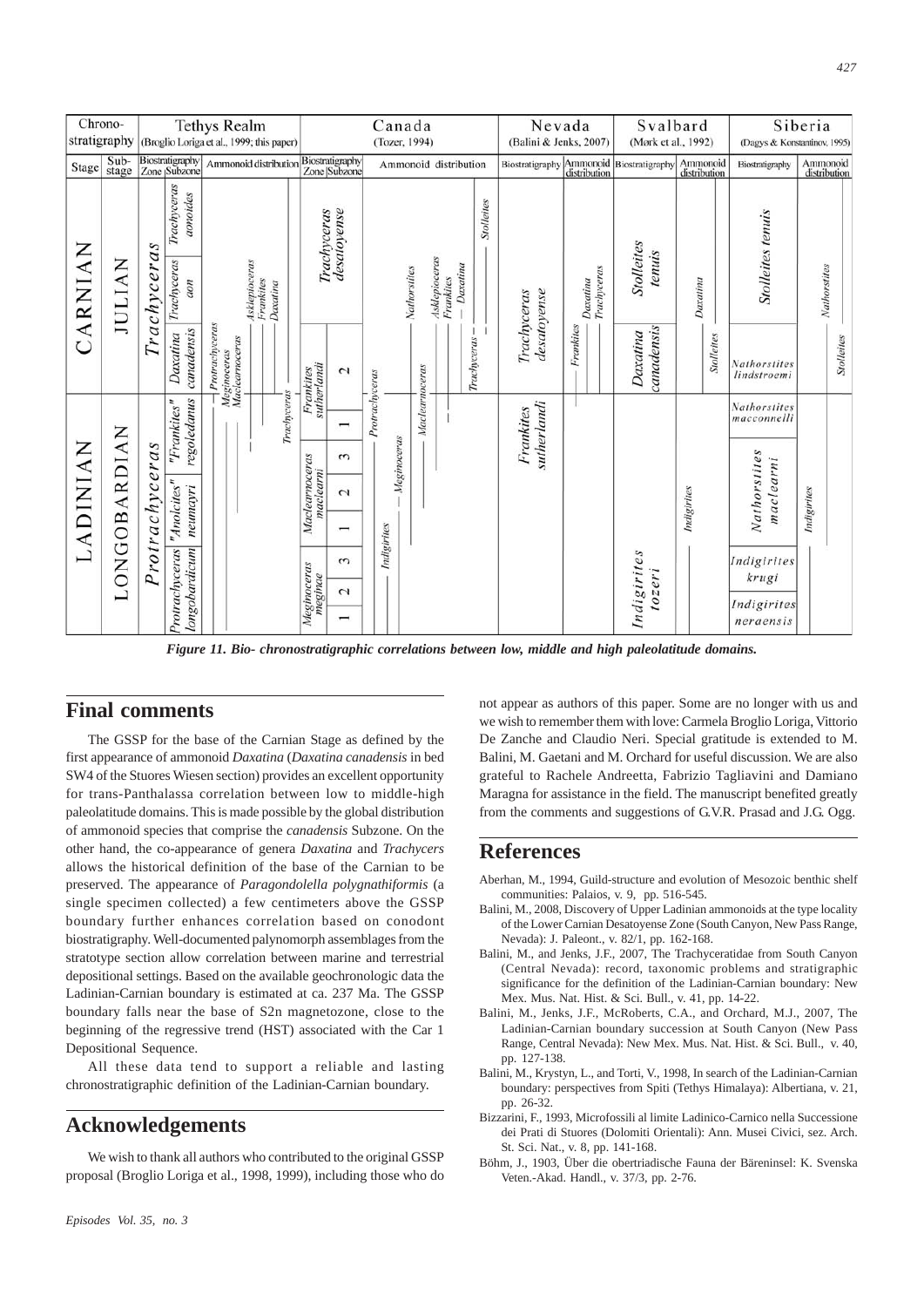| Chrono-<br>stratigraphy |               | <b>Tethys Realm</b><br>(Broglio Loriga et al., 1999; this paper) |                                                       |                                                 |                                        |                                    | Canada<br>(Tozer, 1994)         |                                            |                   |                       |                |                                        |             |           |                 | Nevada<br>(Balini & Jenks, 2007) |                                                                      |                             | Svalbard<br>(Mørk et al., 1992) |                 |                           | Siberia<br>(Dagys & Konstantinov, 1995) |  |  |
|-------------------------|---------------|------------------------------------------------------------------|-------------------------------------------------------|-------------------------------------------------|----------------------------------------|------------------------------------|---------------------------------|--------------------------------------------|-------------------|-----------------------|----------------|----------------------------------------|-------------|-----------|-----------------|----------------------------------|----------------------------------------------------------------------|-----------------------------|---------------------------------|-----------------|---------------------------|-----------------------------------------|--|--|
| Stage                   | Sub-<br>stage |                                                                  | Biostratigraphy<br>Zone <sub>l</sub> Subzone          | Ammonoid distribution                           |                                        |                                    | Biostratigraphy<br>Zone Subzone |                                            |                   | Ammonoid distribution |                |                                        |             |           | Biostratigraphy |                                  | Ammonoid Biostratigraphy<br>distribution<br>Ammonoid<br>distribution |                             |                                 | Biostratigraphy | Ammonoid<br>distribution  |                                         |  |  |
| CARNIAN                 | <b>JULIAN</b> | Trachyceras                                                      | Trachyceras<br>aonoides                               |                                                 |                                        |                                    | desatoyense<br>Trachyceras      |                                            | <b>Stolleites</b> |                       |                |                                        |             |           |                 |                                  |                                                                      |                             |                                 |                 |                           |                                         |  |  |
|                         |               |                                                                  | Trachyceras<br>uon                                    |                                                 | Asklepioceras<br>Frankites<br>Daxatina |                                    |                                 |                                            |                   |                       | Nathorstites   | Asklepioceras<br>Daxatina<br>Frankites |             |           | desatoyense     | Trachyceras<br>Daxatina          |                                                                      | <b>Stolleites</b><br>tenuis | Daxatina                        |                 | <b>Stolleites tenuis</b>  | <b>Nathorstites</b>                     |  |  |
|                         |               |                                                                  | canadensis<br>Daxatina                                | Protrachyceras<br>Meginoceras<br>Maclearnoceras |                                        | Frankites<br>sutherlandi<br>$\sim$ |                                 |                                            |                   |                       | Trachyceras    |                                        | Trachyceras | Frankites |                 | canadensis<br>Daxatina           |                                                                      | Stolleites                  | Nathorstites<br>lindstroemi     |                 | Stolleites                |                                         |  |  |
| LADINIAN                | LONGOBARDIAN  | Protrachyceras                                                   | regoledanus<br>"Frankites"<br>"Anolcites"<br>neumayri |                                                 |                                        | Trachyceras                        |                                 | ⊣                                          | Protrachyceras    | Meginoceras           | Maclearnoceras |                                        |             |           |                 |                                  |                                                                      |                             |                                 |                 |                           | <b>Nathorstites</b><br>macconnelli      |  |  |
|                         |               |                                                                  |                                                       |                                                 |                                        |                                    |                                 | 3                                          |                   |                       |                |                                        |             |           |                 | sutherlandi<br>Frankites         |                                                                      |                             |                                 |                 |                           |                                         |  |  |
|                         |               |                                                                  |                                                       |                                                 |                                        |                                    | Maclearnoceras<br>maclearni     | $\sim$                                     |                   |                       |                |                                        |             |           |                 |                                  |                                                                      |                             | Indigirites                     |                 | Nathorstites<br>maclearni | Indigirites                             |  |  |
|                         |               |                                                                  |                                                       |                                                 |                                        |                                    |                                 |                                            |                   |                       |                |                                        |             |           |                 |                                  |                                                                      |                             |                                 |                 |                           |                                         |  |  |
|                         |               |                                                                  |                                                       |                                                 |                                        |                                    |                                 | $\sim$                                     |                   | Indigirites           |                |                                        |             |           |                 |                                  |                                                                      |                             |                                 |                 |                           | Indigirites<br>krugi                    |  |  |
|                         |               |                                                                  | Protrachyceras<br>longobardicum                       |                                                 |                                        |                                    | Meginoceras<br>meginae          | $\overline{C}$<br>$\overline{\phantom{0}}$ |                   |                       |                |                                        |             |           |                 |                                  |                                                                      |                             | Indigirites<br>tozeri           |                 |                           | Indigirites<br>neraensis                |  |  |

*Figure 11. Bio- chronostratigraphic correlations between low, middle and high paleolatitude domains.*

#### **Final comments**

The GSSP for the base of the Carnian Stage as defined by the first appearance of ammonoid *Daxatina* (*Daxatina canadensis* in bed SW4 of the Stuores Wiesen section) provides an excellent opportunity for trans-Panthalassa correlation between low to middle-high paleolatitude domains. This is made possible by the global distribution of ammonoid species that comprise the *canadensis* Subzone. On the other hand, the co-appearance of genera *Daxatina* and *Trachycers* allows the historical definition of the base of the Carnian to be preserved. The appearance of *Paragondolella polygnathiformis* (a single specimen collected) a few centimeters above the GSSP boundary further enhances correlation based on conodont biostratigraphy. Well-documented palynomorph assemblages from the stratotype section allow correlation between marine and terrestrial depositional settings. Based on the available geochronologic data the Ladinian-Carnian boundary is estimated at ca. 237 Ma. The GSSP boundary falls near the base of S2n magnetozone, close to the beginning of the regressive trend (HST) associated with the Car 1 Depositional Sequence.

All these data tend to support a reliable and lasting chronostratigraphic definition of the Ladinian-Carnian boundary.

## **Acknowledgements**

We wish to thank all authors who contributed to the original GSSP proposal (Broglio Loriga et al., 1998, 1999), including those who do not appear as authors of this paper. Some are no longer with us and we wish to remember them with love: Carmela Broglio Loriga, Vittorio De Zanche and Claudio Neri. Special gratitude is extended to M. Balini, M. Gaetani and M. Orchard for useful discussion. We are also grateful to Rachele Andreetta, Fabrizio Tagliavini and Damiano Maragna for assistance in the field. The manuscript benefited greatly from the comments and suggestions of G.V.R. Prasad and J.G. Ogg.

## **References**

- Aberhan, M., 1994, Guild-structure and evolution of Mesozoic benthic shelf communities: Palaios, v. 9, pp. 516-545.
- Balini, M., 2008, Discovery of Upper Ladinian ammonoids at the type locality of the Lower Carnian Desatoyense Zone (South Canyon, New Pass Range, Nevada): J. Paleont., v. 82/1, pp. 162-168.
- Balini, M., and Jenks, J.F., 2007, The Trachyceratidae from South Canyon (Central Nevada): record, taxonomic problems and stratigraphic significance for the definition of the Ladinian-Carnian boundary: New Mex. Mus. Nat. Hist. & Sci. Bull., v. 41, pp. 14-22.
- Balini, M., Jenks, J.F., McRoberts, C.A., and Orchard, M.J., 2007, The Ladinian-Carnian boundary succession at South Canyon (New Pass Range, Central Nevada): New Mex. Mus. Nat. Hist. & Sci. Bull., v. 40, pp. 127-138.
- Balini, M., Krystyn, L., and Torti, V., 1998, In search of the Ladinian-Carnian boundary: perspectives from Spiti (Tethys Himalaya): Albertiana, v. 21, pp. 26-32.
- Bizzarini, F., 1993, Microfossili al limite Ladinico-Carnico nella Successione dei Prati di Stuores (Dolomiti Orientali): Ann. Musei Civici, sez. Arch. St. Sci. Nat., v. 8, pp. 141-168.
- Böhm, J., 1903, Über die obertriadische Fauna der Bäreninsel: K. Svenska Veten.-Akad. Handl., v. 37/3, pp. 2-76.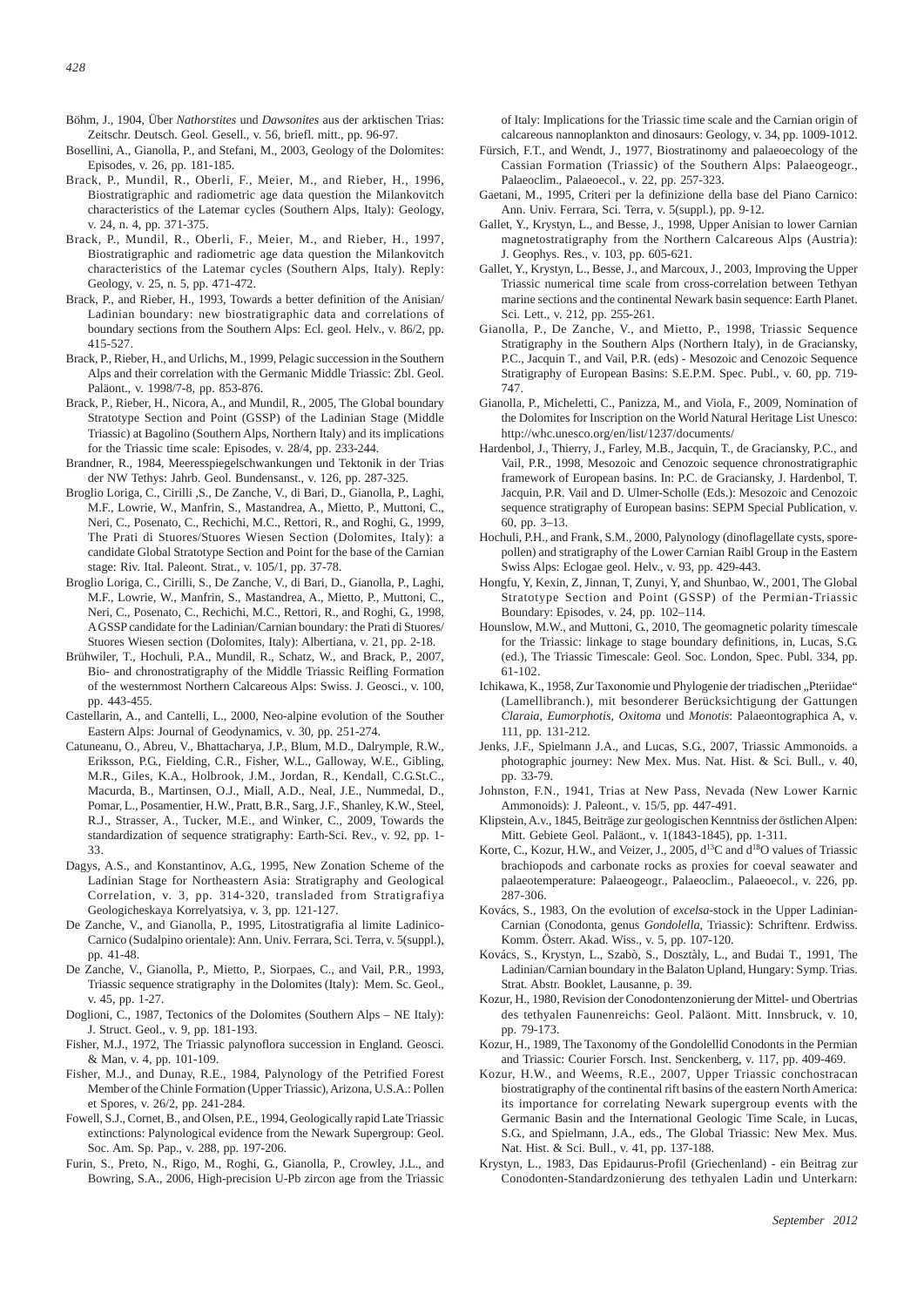- Böhm, J., 1904, Über *Nathorstites* und *Dawsonites* aus der arktischen Trias: Zeitschr. Deutsch. Geol. Gesell., v. 56, briefl. mitt., pp. 96-97.
- Bosellini, A., Gianolla, P., and Stefani, M., 2003, Geology of the Dolomites: Episodes, v. 26, pp. 181-185.
- Brack, P., Mundil, R., Oberli, F., Meier, M., and Rieber, H., 1996, Biostratigraphic and radiometric age data question the Milankovitch characteristics of the Latemar cycles (Southern Alps, Italy): Geology, v. 24, n. 4, pp. 371-375.
- Brack, P., Mundil, R., Oberli, F., Meier, M., and Rieber, H., 1997, Biostratigraphic and radiometric age data question the Milankovitch characteristics of the Latemar cycles (Southern Alps, Italy). Reply: Geology, v. 25, n. 5, pp. 471-472.
- Brack, P., and Rieber, H., 1993, Towards a better definition of the Anisian/ Ladinian boundary: new biostratigraphic data and correlations of boundary sections from the Southern Alps: Ecl. geol. Helv., v. 86/2, pp. 415-527.
- Brack, P., Rieber, H., and Urlichs, M., 1999, Pelagic succession in the Southern Alps and their correlation with the Germanic Middle Triassic: Zbl. Geol. Paläont., v. 1998/7-8, pp. 853-876.
- Brack, P., Rieber, H., Nicora, A., and Mundil, R., 2005, The Global boundary Stratotype Section and Point (GSSP) of the Ladinian Stage (Middle Triassic) at Bagolino (Southern Alps, Northern Italy) and its implications for the Triassic time scale: Episodes, v. 28/4, pp. 233-244.
- Brandner, R., 1984, Meeresspiegelschwankungen und Tektonik in der Trias der NW Tethys: Jahrb. Geol. Bundensanst., v. 126, pp. 287-325.
- Broglio Loriga, C., Cirilli ,S., De Zanche, V., di Bari, D., Gianolla, P., Laghi, M.F., Lowrie, W., Manfrin, S., Mastandrea, A., Mietto, P., Muttoni, C., Neri, C., Posenato, C., Rechichi, M.C., Rettori, R., and Roghi, G., 1999, The Prati di Stuores/Stuores Wiesen Section (Dolomites, Italy): a candidate Global Stratotype Section and Point for the base of the Carnian stage: Riv. Ital. Paleont. Strat., v. 105/1, pp. 37-78.
- Broglio Loriga, C., Cirilli, S., De Zanche, V., di Bari, D., Gianolla, P., Laghi, M.F., Lowrie, W., Manfrin, S., Mastandrea, A., Mietto, P., Muttoni, C., Neri, C., Posenato, C., Rechichi, M.C., Rettori, R., and Roghi, G., 1998, A GSSP candidate for the Ladinian/Carnian boundary: the Prati di Stuores/ Stuores Wiesen section (Dolomites, Italy): Albertiana, v. 21, pp. 2-18.
- Brühwiler, T., Hochuli, P.A., Mundil, R., Schatz, W., and Brack, P., 2007, Bio- and chronostratigraphy of the Middle Triassic Reifling Formation of the westernmost Northern Calcareous Alps: Swiss. J. Geosci., v. 100, pp. 443-455.
- Castellarin, A., and Cantelli, L., 2000, Neo-alpine evolution of the Souther Eastern Alps: Journal of Geodynamics, v. 30, pp. 251-274.
- Catuneanu, O., Abreu, V., Bhattacharya, J.P., Blum, M.D., Dalrymple, R.W., Eriksson, P.G., Fielding, C.R., Fisher, W.L., Galloway, W.E., Gibling, M.R., Giles, K.A., Holbrook, J.M., Jordan, R., Kendall, C.G.St.C., Macurda, B., Martinsen, O.J., Miall, A.D., Neal, J.E., Nummedal, D., Pomar, L., Posamentier, H.W., Pratt, B.R., Sarg, J.F., Shanley, K.W., Steel, R.J., Strasser, A., Tucker, M.E., and Winker, C., 2009, Towards the standardization of sequence stratigraphy: Earth-Sci. Rev., v. 92, pp. 1- 33.
- Dagys, A.S., and Konstantinov, A.G., 1995, New Zonation Scheme of the Ladinian Stage for Northeastern Asia: Stratigraphy and Geological Correlation, v. 3, pp. 314-320, transladed from Stratigrafiya Geologicheskaya Korrelyatsiya, v. 3, pp. 121-127.
- De Zanche, V., and Gianolla, P., 1995, Litostratigrafia al limite Ladinico-Carnico (Sudalpino orientale): Ann. Univ. Ferrara, Sci. Terra, v. 5(suppl.), pp. 41-48.
- De Zanche, V., Gianolla, P., Mietto, P., Siorpaes, C., and Vail, P.R., 1993, Triassic sequence stratigraphy in the Dolomites (Italy): Mem. Sc. Geol., v. 45, pp. 1-27.
- Doglioni, C., 1987, Tectonics of the Dolomites (Southern Alps NE Italy): J. Struct. Geol., v. 9, pp. 181-193.
- Fisher, M.J., 1972, The Triassic palynoflora succession in England. Geosci. & Man, v. 4, pp. 101-109.
- Fisher, M.J., and Dunay, R.E., 1984, Palynology of the Petrified Forest Member of the Chinle Formation (Upper Triassic), Arizona, U.S.A.: Pollen et Spores, v. 26/2, pp. 241-284.
- Fowell, S.J., Cornet, B., and Olsen, P.E., 1994, Geologically rapid Late Triassic extinctions: Palynological evidence from the Newark Supergroup: Geol. Soc. Am. Sp. Pap., v. 288, pp. 197-206.
- Furin, S., Preto, N., Rigo, M., Roghi, G., Gianolla, P., Crowley, J.L., and Bowring, S.A., 2006, High-precision U-Pb zircon age from the Triassic

of Italy: Implications for the Triassic time scale and the Carnian origin of calcareous nannoplankton and dinosaurs: Geology, v. 34, pp. 1009-1012.

- Fürsich, F.T., and Wendt, J., 1977, Biostratinomy and palaeoecology of the Cassian Formation (Triassic) of the Southern Alps: Palaeogeogr., Palaeoclim., Palaeoecol., v. 22, pp. 257-323.
- Gaetani, M., 1995, Criteri per la definizione della base del Piano Carnico: Ann. Univ. Ferrara, Sci. Terra, v. 5(suppl.), pp. 9-12.
- Gallet, Y., Krystyn, L., and Besse, J., 1998, Upper Anisian to lower Carnian magnetostratigraphy from the Northern Calcareous Alps (Austria): J. Geophys. Res., v. 103, pp. 605-621.
- Gallet, Y., Krystyn, L., Besse, J., and Marcoux, J., 2003, Improving the Upper Triassic numerical time scale from cross-correlation between Tethyan marine sections and the continental Newark basin sequence: Earth Planet. Sci. Lett., v. 212, pp. 255-261.
- Gianolla, P., De Zanche, V., and Mietto, P., 1998, Triassic Sequence Stratigraphy in the Southern Alps (Northern Italy), in de Graciansky, P.C., Jacquin T., and Vail, P.R. (eds) - Mesozoic and Cenozoic Sequence Stratigraphy of European Basins: S.E.P.M. Spec. Publ., v. 60, pp. 719- 747.
- Gianolla, P., Micheletti, C., Panizza, M., and Viola, F., 2009, Nomination of the Dolomites for Inscription on the World Natural Heritage List Unesco: http://whc.unesco.org/en/list/1237/documents/
- Hardenbol, J., Thierry, J., Farley, M.B., Jacquin, T., de Graciansky, P.C., and Vail, P.R., 1998, Mesozoic and Cenozoic sequence chronostratigraphic framework of European basins. In: P.C. de Graciansky, J. Hardenbol, T. Jacquin, P.R. Vail and D. Ulmer-Scholle (Eds.): Mesozoic and Cenozoic sequence stratigraphy of European basins: SEPM Special Publication, v. 60, pp. 3–13.
- Hochuli, P.H., and Frank, S.M., 2000, Palynology (dinoflagellate cysts, sporepollen) and stratigraphy of the Lower Carnian Raibl Group in the Eastern Swiss Alps: Eclogae geol. Helv., v. 93, pp. 429-443.
- Hongfu, Y, Kexin, Z, Jinnan, T, Zunyi, Y, and Shunbao, W., 2001, The Global Stratotype Section and Point (GSSP) of the Permian-Triassic Boundary: Episodes, v. 24, pp. 102–114.
- Hounslow, M.W., and Muttoni, G., 2010, The geomagnetic polarity timescale for the Triassic: linkage to stage boundary definitions, in, Lucas, S.G. (ed.), The Triassic Timescale: Geol. Soc. London, Spec. Publ. 334, pp. 61-102.
- Ichikawa, K., 1958, Zur Taxonomie und Phylogenie der triadischen "Pteriidae" (Lamellibranch.), mit besonderer Berücksichtigung der Gattungen *Claraia*, *Eumorphotis*, *Oxitoma* und *Monotis*: Palaeontographica A, v. 111, pp. 131-212.
- Jenks, J.F., Spielmann J.A., and Lucas, S.G., 2007, Triassic Ammonoids. a photographic journey: New Mex. Mus. Nat. Hist. & Sci. Bull., v. 40, pp. 33-79.
- Johnston, F.N., 1941, Trias at New Pass, Nevada (New Lower Karnic Ammonoids): J. Paleont., v. 15/5, pp. 447-491.
- Klipstein, A.v., 1845, Beiträge zur geologischen Kenntniss der östlichen Alpen: Mitt. Gebiete Geol. Paläont., v. 1(1843-1845), pp. 1-311.
- Korte, C., Kozur, H.W., and Veizer, J., 2005,  $d^{13}C$  and  $d^{18}O$  values of Triassic brachiopods and carbonate rocks as proxies for coeval seawater and palaeotemperature: Palaeogeogr., Palaeoclim., Palaeoecol., v. 226, pp. 287-306.
- Kovács, S., 1983, On the evolution of *excelsa*-stock in the Upper Ladinian-Carnian (Conodonta, genus *Gondolella*, Triassic): Schriftenr. Erdwiss. Komm. Österr. Akad. Wiss., v. 5, pp. 107-120.
- Kovács, S., Krystyn, L., Szabò, S., Dosztàly, L., and Budai T., 1991, The Ladinian/Carnian boundary in the Balaton Upland, Hungary: Symp. Trias. Strat. Abstr. Booklet, Lausanne, p. 39.
- Kozur, H., 1980, Revision der Conodontenzonierung der Mittel- und Obertrias des tethyalen Faunenreichs: Geol. Paläont. Mitt. Innsbruck, v. 10, pp. 79-173.
- Kozur, H., 1989, The Taxonomy of the Gondolellid Conodonts in the Permian and Triassic: Courier Forsch. Inst. Senckenberg, v. 117, pp. 409-469.
- Kozur, H.W., and Weems, R.E., 2007, Upper Triassic conchostracan biostratigraphy of the continental rift basins of the eastern North America: its importance for correlating Newark supergroup events with the Germanic Basin and the International Geologic Time Scale, in Lucas, S.G., and Spielmann, J.A., eds., The Global Triassic: New Mex. Mus. Nat. Hist. & Sci. Bull., v. 41, pp. 137-188.
- Krystyn, L., 1983, Das Epidaurus-Profil (Griechenland) ein Beitrag zur Conodonten-Standardzonierung des tethyalen Ladin und Unterkarn: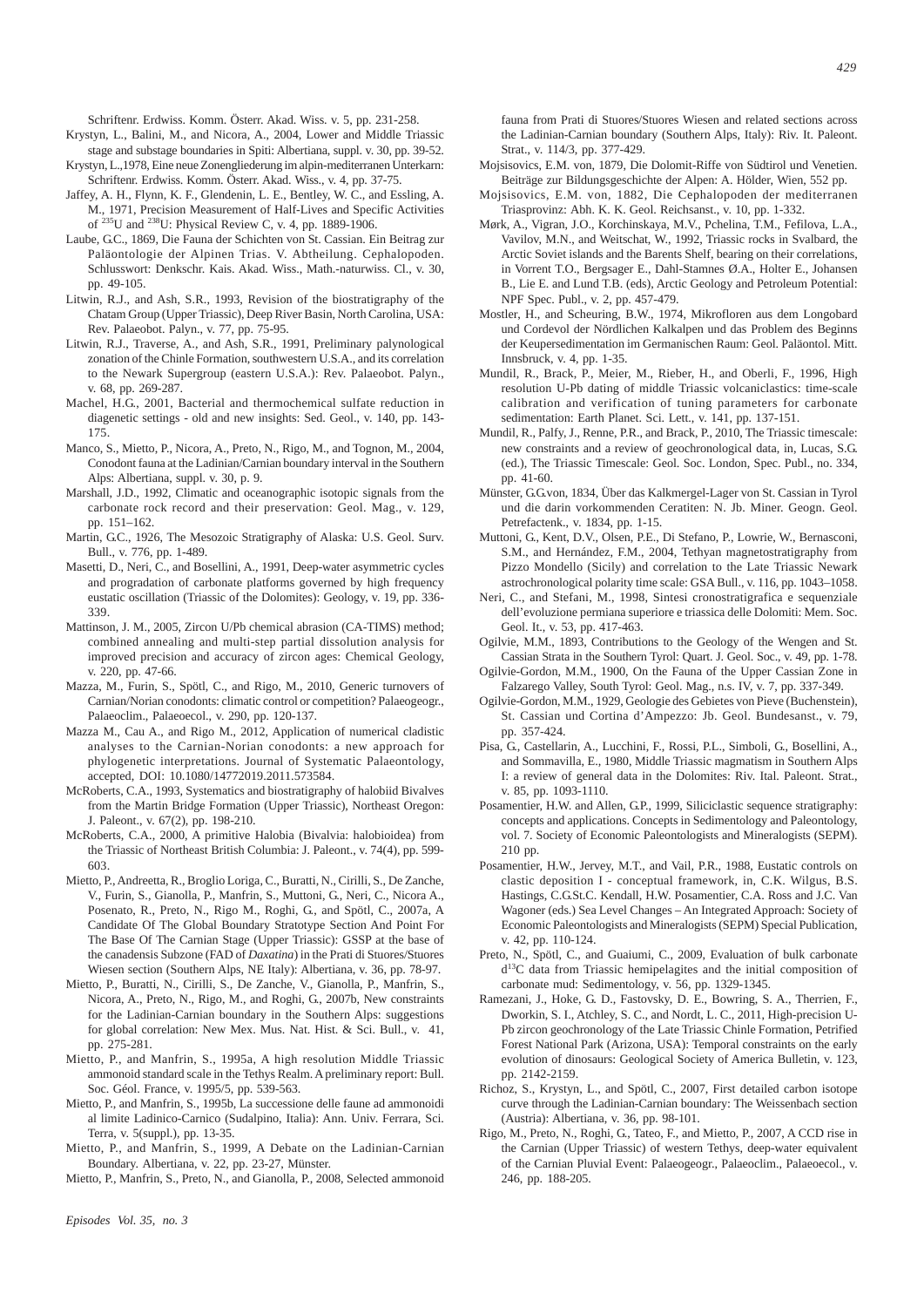Schriftenr. Erdwiss. Komm. Österr. Akad. Wiss. v. 5, pp. 231-258.

- Krystyn, L., Balini, M., and Nicora, A., 2004, Lower and Middle Triassic stage and substage boundaries in Spiti: Albertiana, suppl. v. 30, pp. 39-52.
- Krystyn, L.,1978, Eine neue Zonengliederung im alpin-mediterranen Unterkarn: Schriftenr. Erdwiss. Komm. Österr. Akad. Wiss., v. 4, pp. 37-75.
- Jaffey, A. H., Flynn, K. F., Glendenin, L. E., Bentley, W. C., and Essling, A. M., 1971, Precision Measurement of Half-Lives and Specific Activities of 235U and 238U: Physical Review C, v. 4, pp. 1889-1906.
- Laube, G.C., 1869, Die Fauna der Schichten von St. Cassian. Ein Beitrag zur Paläontologie der Alpinen Trias. V. Abtheilung. Cephalopoden. Schlusswort: Denkschr. Kais. Akad. Wiss., Math.-naturwiss. Cl., v. 30, pp. 49-105.
- Litwin, R.J., and Ash, S.R., 1993, Revision of the biostratigraphy of the Chatam Group (Upper Triassic), Deep River Basin, North Carolina, USA: Rev. Palaeobot. Palyn., v. 77, pp. 75-95.
- Litwin, R.J., Traverse, A., and Ash, S.R., 1991, Preliminary palynological zonation of the Chinle Formation, southwestern U.S.A., and its correlation to the Newark Supergroup (eastern U.S.A.): Rev. Palaeobot. Palyn., v. 68, pp. 269-287.
- Machel, H.G., 2001, Bacterial and thermochemical sulfate reduction in diagenetic settings - old and new insights: Sed. Geol., v. 140, pp. 143- 175.
- Manco, S., Mietto, P., Nicora, A., Preto, N., Rigo, M., and Tognon, M., 2004, Conodont fauna at the Ladinian/Carnian boundary interval in the Southern Alps: Albertiana, suppl. v. 30, p. 9.
- Marshall, J.D., 1992, Climatic and oceanographic isotopic signals from the carbonate rock record and their preservation: Geol. Mag., v. 129, pp. 151–162.
- Martin, G.C., 1926, The Mesozoic Stratigraphy of Alaska: U.S. Geol. Surv. Bull., v. 776, pp. 1-489.
- Masetti, D., Neri, C., and Bosellini, A., 1991, Deep-water asymmetric cycles and progradation of carbonate platforms governed by high frequency eustatic oscillation (Triassic of the Dolomites): Geology, v. 19, pp. 336- 339.
- Mattinson, J. M., 2005, Zircon U/Pb chemical abrasion (CA-TIMS) method; combined annealing and multi-step partial dissolution analysis for improved precision and accuracy of zircon ages: Chemical Geology, v. 220, pp. 47-66.
- Mazza, M., Furin, S., Spötl, C., and Rigo, M., 2010, Generic turnovers of Carnian/Norian conodonts: climatic control or competition? Palaeogeogr., Palaeoclim., Palaeoecol., v. 290, pp. 120-137.
- Mazza M., Cau A., and Rigo M., 2012, Application of numerical cladistic analyses to the Carnian-Norian conodonts: a new approach for phylogenetic interpretations. Journal of Systematic Palaeontology, accepted, DOI: 10.1080/14772019.2011.573584.
- McRoberts, C.A., 1993, Systematics and biostratigraphy of halobiid Bivalves from the Martin Bridge Formation (Upper Triassic), Northeast Oregon: J. Paleont., v. 67(2), pp. 198-210.
- McRoberts, C.A., 2000, A primitive Halobia (Bivalvia: halobioidea) from the Triassic of Northeast British Columbia: J. Paleont., v. 74(4), pp. 599- 603.
- Mietto, P., Andreetta, R., Broglio Loriga, C., Buratti, N., Cirilli, S., De Zanche, V., Furin, S., Gianolla, P., Manfrin, S., Muttoni, G., Neri, C., Nicora A., Posenato, R., Preto, N., Rigo M., Roghi, G., and Spötl, C., 2007a, A Candidate Of The Global Boundary Stratotype Section And Point For The Base Of The Carnian Stage (Upper Triassic): GSSP at the base of the canadensis Subzone (FAD of *Daxatina*) in the Prati di Stuores/Stuores Wiesen section (Southern Alps, NE Italy): Albertiana, v. 36, pp. 78-97.
- Mietto, P., Buratti, N., Cirilli, S., De Zanche, V., Gianolla, P., Manfrin, S., Nicora, A., Preto, N., Rigo, M., and Roghi, G., 2007b, New constraints for the Ladinian-Carnian boundary in the Southern Alps: suggestions for global correlation: New Mex. Mus. Nat. Hist. & Sci. Bull., v. 41, pp. 275-281.
- Mietto, P., and Manfrin, S., 1995a, A high resolution Middle Triassic ammonoid standard scale in the Tethys Realm. A preliminary report: Bull. Soc. Géol. France, v. 1995/5, pp. 539-563.
- Mietto, P., and Manfrin, S., 1995b, La successione delle faune ad ammonoidi al limite Ladinico-Carnico (Sudalpino, Italia): Ann. Univ. Ferrara, Sci. Terra, v. 5(suppl.), pp. 13-35.
- Mietto, P., and Manfrin, S., 1999, A Debate on the Ladinian-Carnian Boundary. Albertiana, v. 22, pp. 23-27, Münster.

Mietto, P., Manfrin, S., Preto, N., and Gianolla, P., 2008, Selected ammonoid

fauna from Prati di Stuores/Stuores Wiesen and related sections across the Ladinian-Carnian boundary (Southern Alps, Italy): Riv. It. Paleont. Strat., v. 114/3, pp. 377-429.

- Mojsisovics, E.M. von, 1879, Die Dolomit-Riffe von Südtirol und Venetien. Beiträge zur Bildungsgeschichte der Alpen: A. Hölder, Wien, 552 pp.
- Mojsisovics, E.M. von, 1882, Die Cephalopoden der mediterranen Triasprovinz: Abh. K. K. Geol. Reichsanst., v. 10, pp. 1-332.
- Mørk, A., Vigran, J.O., Korchinskaya, M.V., Pchelina, T.M., Fefilova, L.A., Vavilov, M.N., and Weitschat, W., 1992, Triassic rocks in Svalbard, the Arctic Soviet islands and the Barents Shelf, bearing on their correlations, in Vorrent T.O., Bergsager E., Dahl-Stamnes Ø.A., Holter E., Johansen B., Lie E. and Lund T.B. (eds), Arctic Geology and Petroleum Potential: NPF Spec. Publ., v. 2, pp. 457-479.
- Mostler, H., and Scheuring, B.W., 1974, Mikrofloren aus dem Longobard und Cordevol der Nördlichen Kalkalpen und das Problem des Beginns der Keupersedimentation im Germanischen Raum: Geol. Paläontol. Mitt. Innsbruck, v. 4, pp. 1-35.
- Mundil, R., Brack, P., Meier, M., Rieber, H., and Oberli, F., 1996, High resolution U-Pb dating of middle Triassic volcaniclastics: time-scale calibration and verification of tuning parameters for carbonate sedimentation: Earth Planet. Sci. Lett., v. 141, pp. 137-151.
- Mundil, R., Palfy, J., Renne, P.R., and Brack, P., 2010, The Triassic timescale: new constraints and a review of geochronological data, in, Lucas, S.G. (ed.), The Triassic Timescale: Geol. Soc. London, Spec. Publ., no. 334, pp. 41-60.
- Münster, G.G.von, 1834, Über das Kalkmergel-Lager von St. Cassian in Tyrol und die darin vorkommenden Ceratiten: N. Jb. Miner. Geogn. Geol. Petrefactenk., v. 1834, pp. 1-15.
- Muttoni, G., Kent, D.V., Olsen, P.E., Di Stefano, P., Lowrie, W., Bernasconi, S.M., and Hernández, F.M., 2004, Tethyan magnetostratigraphy from Pizzo Mondello (Sicily) and correlation to the Late Triassic Newark astrochronological polarity time scale: GSA Bull., v. 116, pp. 1043–1058.
- Neri, C., and Stefani, M., 1998, Sintesi cronostratigrafica e sequenziale dell'evoluzione permiana superiore e triassica delle Dolomiti: Mem. Soc. Geol. It., v. 53, pp. 417-463.
- Ogilvie, M.M., 1893, Contributions to the Geology of the Wengen and St. Cassian Strata in the Southern Tyrol: Quart. J. Geol. Soc., v. 49, pp. 1-78.
- Ogilvie-Gordon, M.M., 1900, On the Fauna of the Upper Cassian Zone in Falzarego Valley, South Tyrol: Geol. Mag., n.s. IV, v. 7, pp. 337-349.
- Ogilvie-Gordon, M.M., 1929, Geologie des Gebietes von Pieve (Buchenstein), St. Cassian und Cortina d'Ampezzo: Jb. Geol. Bundesanst., v. 79, pp. 357-424.
- Pisa, G., Castellarin, A., Lucchini, F., Rossi, P.L., Simboli, G., Bosellini, A., and Sommavilla, E., 1980, Middle Triassic magmatism in Southern Alps I: a review of general data in the Dolomites: Riv. Ital. Paleont. Strat., v. 85, pp. 1093-1110.
- Posamentier, H.W. and Allen, G.P., 1999, Siliciclastic sequence stratigraphy: concepts and applications. Concepts in Sedimentology and Paleontology, vol. 7. Society of Economic Paleontologists and Mineralogists (SEPM). 210 pp.
- Posamentier, H.W., Jervey, M.T., and Vail, P.R., 1988, Eustatic controls on clastic deposition I - conceptual framework, in, C.K. Wilgus, B.S. Hastings, C.G.St.C. Kendall, H.W. Posamentier, C.A. Ross and J.C. Van Wagoner (eds.) Sea Level Changes – An Integrated Approach: Society of Economic Paleontologists and Mineralogists (SEPM) Special Publication, v. 42, pp. 110-124.
- Preto, N., Spötl, C., and Guaiumi, C., 2009, Evaluation of bulk carbonate  $d^{13}$ C data from Triassic hemipelagites and the initial composition of carbonate mud: Sedimentology, v. 56, pp. 1329-1345.
- Ramezani, J., Hoke, G. D., Fastovsky, D. E., Bowring, S. A., Therrien, F., Dworkin, S. I., Atchley, S. C., and Nordt, L. C., 2011, High-precision U-Pb zircon geochronology of the Late Triassic Chinle Formation, Petrified Forest National Park (Arizona, USA): Temporal constraints on the early evolution of dinosaurs: Geological Society of America Bulletin, v. 123, pp. 2142-2159.
- Richoz, S., Krystyn, L., and Spötl, C., 2007, First detailed carbon isotope curve through the Ladinian-Carnian boundary: The Weissenbach section (Austria): Albertiana, v. 36, pp. 98-101.
- Rigo, M., Preto, N., Roghi, G., Tateo, F., and Mietto, P., 2007, A CCD rise in the Carnian (Upper Triassic) of western Tethys, deep-water equivalent of the Carnian Pluvial Event: Palaeogeogr., Palaeoclim., Palaeoecol., v. 246, pp. 188-205.